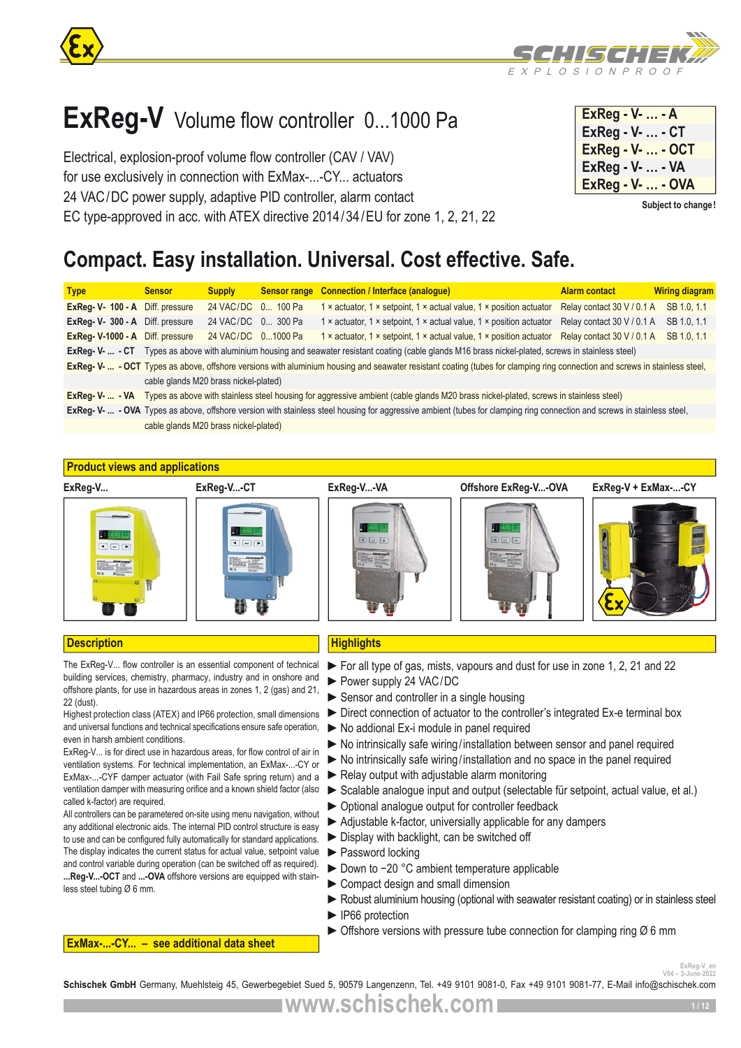

# **ExReg-V** Volume flow controller 0...1000 Pa

Electrical, explosion-proof volume flow controller (CAV / VAV) for use exclusively in connection with ExMax-...-CY... actuators 24 VAC/DC power supply, adaptive PID controller, alarm contact EC type-approved in acc. with ATEX directive 2014/34/EU for zone 1, 2, 21, 22

| $ExReg - V -  - A$       |  |
|--------------------------|--|
| ExReg - V-  - CT         |  |
| <b>ExReg - V-  - OCT</b> |  |
| ExReg - V-  - VA         |  |
| <b>ExReg - V-  - OVA</b> |  |

**Subject to change!**

# **Compact. Easy installation. Universal. Cost effective. Safe.**

| <b>Type</b>                      | <b>Sensor</b>                         | <b>Supply</b>      | <b>Sensor range Connection / Interface (analogue)</b>                                                                                                                       | <b>Alarm contact</b>       | <b>Wiring diagram</b> |
|----------------------------------|---------------------------------------|--------------------|-----------------------------------------------------------------------------------------------------------------------------------------------------------------------------|----------------------------|-----------------------|
| ExReg- V- 100 - A Diff. pressure |                                       | 24 VAC/DC 0 100 Pa | 1 x actuator, 1 x setpoint, 1 x actual value, 1 x position actuator                                                                                                         | Relay contact 30 V / 0.1 A | SB 1.0, 1.1           |
| ExReg- V- 300 - A                | Diff. pressure                        | 24 VAC/DC 0 300 Pa | 1 x actuator, 1 x setpoint, 1 x actual value, 1 x position actuator                                                                                                         | Relay contact 30 V / 0.1 A | SB 1.0, 1.1           |
| ExReg- V-1000 - A                | Diff. pressure                        | 24 VAC/DC 01000 Pa | 1 x actuator, 1 x setpoint, 1 x actual value, 1 x position actuator                                                                                                         | Relay contact 30 V / 0.1 A | SB 1.0, 1.1           |
| $ExRea-V$ - $CT$                 |                                       |                    | Types as above with aluminium housing and seawater resistant coating (cable glands M16 brass nickel-plated, screws in stainless steel)                                      |                            |                       |
|                                  |                                       |                    | ExReg- V-  - OCT Types as above, offshore versions with aluminium housing and seawater resistant coating (tubes for clamping ring connection and screws in stainless steel, |                            |                       |
|                                  | cable glands M20 brass nickel-plated) |                    |                                                                                                                                                                             |                            |                       |
| $ExReq-V.  - VA$                 |                                       |                    | Types as above with stainless steel housing for aggressive ambient (cable glands M20 brass nickel-plated, screws in stainless steel)                                        |                            |                       |
|                                  |                                       |                    | ExReg- V-  - OVA Types as above, offshore version with stainless steel housing for aggressive ambient (tubes for clamping ring connection and screws in stainless steel,    |                            |                       |
|                                  | cable glands M20 brass nickel-plated) |                    |                                                                                                                                                                             |                            |                       |
|                                  |                                       |                    |                                                                                                                                                                             |                            |                       |

# **Product views and applications**



# **Description Highlights**

The ExReg-V... flow controller is an essential component of technical building services, chemistry, pharmacy, industry and in onshore and offshore plants, for use in hazardous areas in zones 1, 2 (gas) and 21, 22 (dust).

Highest protection class (ATEX) and IP66 protection, small dimensions and universal functions and technical specifications ensure safe operation, even in harsh ambient conditions.

ExReg-V... is for direct use in hazardous areas, for flow control of air in ventilation systems. For technical implementation, an ExMax-...-CY or ExMax-...-CYF damper actuator (with Fail Safe spring return) and a ventilation damper with measuring orifice and a known shield factor (also called k-factor) are required.

All controllers can be parametered on-site using menu navigation, without any additional electronic aids. The internal PID control structure is easy to use and can be configured fully automatically for standard applications. The display indicates the current status for actual value, setpoint value and control variable during operation (can be switched off as required). **...Reg-V...-OCT** and **...-OVA** offshore versions are equipped with stainless steel tubing Ø 6 mm.

**ExMax-...-CY... – see additional data sheet**

- ►For all type of gas, mists, vapours and dust for use in zone 1, 2, 21 and 22
- ►Power supply 24 VAC/DC
- ► Sensor and controller in a single housing
- ►Direct connection of actuator to the controller's integrated Ex-e terminal box
- ►No addional Ex-i module in panel required
- ▶ No intrinsically safe wiring/installation between sensor and panel required
- ►No intrinsically safe wiring/installation and no space in the panel required
- $\blacktriangleright$  Relay output with adjustable alarm monitoring
- ►Scalable analogue input and output (selectable für setpoint, actual value, et al.)
- ►Optional analogue output for controller feedback
- ► Adjustable k-factor, universially applicable for any dampers
- ►Display with backlight, can be switched off
- ►Password locking
- ► Down to −20 °C ambient temperature applicable
- ► Compact design and small dimension
- ► Robust aluminium housing (optional with seawater resistant coating) or in stainless steel
- ► IP66 protection
- $\triangleright$  Offshore versions with pressure tube connection for clamping ring  $\varnothing$  6 mm

ExReg-V\_en<br>*V04 – 3-June-2022* 

Schischek GmbH Germany, Muehlsteig 45, Gewerbegebiet Sued 5, 90579 Langenzenn, Tel. +49 9101 9081-0, Fax +49 9101 9081-77, E-Mail info@schischek.com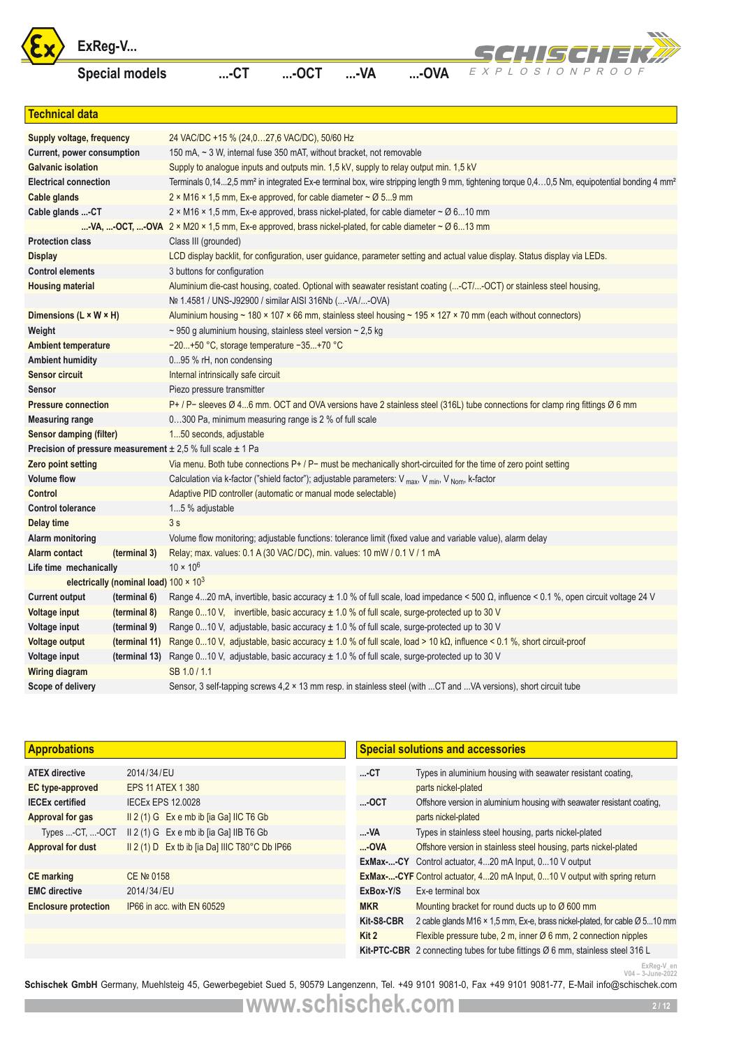





|                                    | ExReg-V                                       |                                                                                                                             |         |            |                     | SCH!ISCH!EK#<br>EXPLOSIONPROOF                                                                                                                                      |
|------------------------------------|-----------------------------------------------|-----------------------------------------------------------------------------------------------------------------------------|---------|------------|---------------------|---------------------------------------------------------------------------------------------------------------------------------------------------------------------|
|                                    | <b>Special models</b>                         | $$ -CT                                                                                                                      | $$ -OCT | $$ -VA     | $$ -OVA             |                                                                                                                                                                     |
| <b>Technical data</b>              |                                               |                                                                                                                             |         |            |                     |                                                                                                                                                                     |
| Supply voltage, frequency          |                                               | 24 VAC/DC +15 % (24,027,6 VAC/DC), 50/60 Hz                                                                                 |         |            |                     |                                                                                                                                                                     |
| Current, power consumption         |                                               | 150 mA, ~ 3 W, internal fuse 350 mAT, without bracket, not removable                                                        |         |            |                     |                                                                                                                                                                     |
| <b>Galvanic isolation</b>          |                                               | Supply to analogue inputs and outputs min. 1,5 kV, supply to relay output min. 1,5 kV                                       |         |            |                     |                                                                                                                                                                     |
| <b>Electrical connection</b>       |                                               |                                                                                                                             |         |            |                     | Terminals 0,142,5 mm <sup>2</sup> in integrated Ex-e terminal box, wire stripping length 9 mm, tightening torque 0,40,5 Nm, equipotential bonding 4 mm <sup>2</sup> |
| Cable glands                       |                                               | 2 × M16 × 1,5 mm, Ex-e approved, for cable diameter $\sim$ Ø 59 mm                                                          |         |            |                     |                                                                                                                                                                     |
| Cable glands -CT                   |                                               | 2 × M16 × 1,5 mm, Ex-e approved, brass nickel-plated, for cable diameter $\sim$ Ø 610 mm                                    |         |            |                     |                                                                                                                                                                     |
|                                    |                                               | -VA, -OCT, -OVA $2 \times M20 \times 1.5$ mm, Ex-e approved, brass nickel-plated, for cable diameter ~ $\varnothing$ 613 mm |         |            |                     |                                                                                                                                                                     |
| <b>Protection class</b>            |                                               | Class III (grounded)                                                                                                        |         |            |                     |                                                                                                                                                                     |
| <b>Display</b>                     |                                               |                                                                                                                             |         |            |                     | LCD display backlit, for configuration, user guidance, parameter setting and actual value display. Status display via LEDs.                                         |
| <b>Control elements</b>            |                                               | 3 buttons for configuration                                                                                                 |         |            |                     |                                                                                                                                                                     |
| <b>Housing material</b>            |                                               | Nº 1.4581 / UNS-J92900 / similar AISI 316Nb (-VA/-OVA)                                                                      |         |            |                     | Aluminium die-cast housing, coated. Optional with seawater resistant coating (-CT/-OCT) or stainless steel housing,                                                 |
| Dimensions $(L \times W \times H)$ |                                               |                                                                                                                             |         |            |                     | Aluminium housing ~ 180 × 107 × 66 mm, stainless steel housing ~ 195 × 127 × 70 mm (each without connectors)                                                        |
| Weight                             |                                               | $\sim$ 950 g aluminium housing, stainless steel version $\sim$ 2,5 kg                                                       |         |            |                     |                                                                                                                                                                     |
| <b>Ambient temperature</b>         |                                               | -20+50 °C, storage temperature -35+70 °C                                                                                    |         |            |                     |                                                                                                                                                                     |
| <b>Ambient humidity</b>            |                                               | 095 % rH, non condensing                                                                                                    |         |            |                     |                                                                                                                                                                     |
| <b>Sensor circuit</b>              |                                               | Internal intrinsically safe circuit                                                                                         |         |            |                     |                                                                                                                                                                     |
| <b>Sensor</b>                      |                                               | Piezo pressure transmitter                                                                                                  |         |            |                     |                                                                                                                                                                     |
| <b>Pressure connection</b>         |                                               |                                                                                                                             |         |            |                     | P+ / P- sleeves Ø 46 mm. OCT and OVA versions have 2 stainless steel (316L) tube connections for clamp ring fittings Ø 6 mm                                         |
| <b>Measuring range</b>             |                                               | 0300 Pa, minimum measuring range is 2 % of full scale                                                                       |         |            |                     |                                                                                                                                                                     |
| <b>Sensor damping (filter)</b>     |                                               | 150 seconds, adjustable                                                                                                     |         |            |                     |                                                                                                                                                                     |
|                                    |                                               | Precision of pressure measurement $\pm 2.5$ % full scale $\pm 1$ Pa                                                         |         |            |                     |                                                                                                                                                                     |
| <b>Zero point setting</b>          |                                               |                                                                                                                             |         |            |                     | Via menu. Both tube connections $P+ / P$ must be mechanically short-circuited for the time of zero point setting                                                    |
| <b>Volume flow</b>                 |                                               | Calculation via k-factor ("shield factor"); adjustable parameters: V max, V min, V Nom, k-factor                            |         |            |                     |                                                                                                                                                                     |
| <b>Control</b>                     |                                               | Adaptive PID controller (automatic or manual mode selectable)                                                               |         |            |                     |                                                                                                                                                                     |
| <b>Control tolerance</b>           |                                               | 15 % adjustable                                                                                                             |         |            |                     |                                                                                                                                                                     |
| Delay time                         |                                               | 3s                                                                                                                          |         |            |                     |                                                                                                                                                                     |
| Alarm monitoring                   |                                               | Volume flow monitoring; adjustable functions: tolerance limit (fixed value and variable value), alarm delay                 |         |            |                     |                                                                                                                                                                     |
| Alarm contact                      | (terminal 3)                                  | Relay; max. values: 0.1 A (30 VAC/DC), min. values: 10 mW / 0.1 V / 1 mA                                                    |         |            |                     |                                                                                                                                                                     |
| Life time mechanically             |                                               | $10 \times 10^{6}$                                                                                                          |         |            |                     |                                                                                                                                                                     |
|                                    | electrically (nominal load) $100 \times 10^3$ |                                                                                                                             |         |            |                     |                                                                                                                                                                     |
|                                    |                                               |                                                                                                                             |         |            |                     | Current output (terminal 6) Range 420 mA, invertible, basic accuracy ± 1.0 % of full scale, load impedance < 500 Ω, influence < 0.1 %, open circuit voltage 24 V    |
| <b>Voltage input</b>               | (terminal 8)                                  | Range 010 V, invertible, basic accuracy $\pm$ 1.0 % of full scale, surge-protected up to 30 V                               |         |            |                     |                                                                                                                                                                     |
| Voltage input                      | (terminal 9)                                  | Range 010 V, adjustable, basic accuracy $\pm$ 1.0 % of full scale, surge-protected up to 30 V                               |         |            |                     |                                                                                                                                                                     |
| <b>Voltage output</b>              | (terminal 11)                                 |                                                                                                                             |         |            |                     | Range 010 V, adjustable, basic accuracy $\pm$ 1.0 % of full scale, load > 10 k $\Omega$ , influence < 0.1 %, short circuit-proof                                    |
| Voltage input                      | (terminal 13)                                 | Range 010 V, adjustable, basic accuracy $\pm$ 1.0 % of full scale, surge-protected up to 30 V                               |         |            |                     |                                                                                                                                                                     |
| <b>Wiring diagram</b>              |                                               | SB 1.0 / 1.1                                                                                                                |         |            |                     |                                                                                                                                                                     |
| Scope of delivery                  |                                               |                                                                                                                             |         |            |                     | Sensor, 3 self-tapping screws 4,2 × 13 mm resp. in stainless steel (with CT and VA versions), short circuit tube                                                    |
|                                    |                                               |                                                                                                                             |         |            |                     |                                                                                                                                                                     |
|                                    |                                               |                                                                                                                             |         |            |                     |                                                                                                                                                                     |
| <b>Approbations</b>                |                                               |                                                                                                                             |         |            |                     | <b>Special solutions and accessories</b>                                                                                                                            |
| <b>ATEX directive</b>              | 2014/34/EU                                    |                                                                                                                             |         | $$ -CT     |                     | Types in aluminium housing with seawater resistant coating,                                                                                                         |
| EC type-approved                   | <b>EPS 11 ATEX 1 380</b>                      |                                                                                                                             |         |            | parts nickel-plated |                                                                                                                                                                     |
| <b>IECEx certified</b>             | <b>IECEx EPS 12.0028</b>                      |                                                                                                                             |         | $$ OCT     |                     | Offshore version in aluminium housing with seawater resistant coating,                                                                                              |
| Approval for gas                   |                                               | II 2 (1) G Ex e mb ib [ia Ga] IIC T6 Gb                                                                                     |         |            | parts nickel-plated |                                                                                                                                                                     |
| Types -CT, -OCT                    |                                               | II 2 (1) G Ex e mb ib [ia Ga] IIB T6 Gb                                                                                     |         | -VA        |                     | Types in stainless steel housing, parts nickel-plated                                                                                                               |
| <b>Approval for dust</b>           |                                               | II 2 (1) D Ex tb ib [ia Da] IIIC T80°C Db IP66                                                                              |         | -OVA       |                     | Offshore version in stainless steel housing, parts nickel-plated                                                                                                    |
|                                    |                                               |                                                                                                                             |         |            |                     | <b>ExMax--CY</b> Control actuator, 420 mA Input, 010 V output                                                                                                       |
| <b>CE</b> marking                  | CE № 0158                                     |                                                                                                                             |         |            |                     | <b>ExMax--CYF</b> Control actuator, 420 mA Input, 010 V output with spring return                                                                                   |
| <b>EMC</b> directive               | 2014/34/EU                                    |                                                                                                                             |         | ExBox-Y/S  | Ex-e terminal box   |                                                                                                                                                                     |
| <b>Enclosure protection</b>        |                                               | IP66 in acc. with EN 60529                                                                                                  |         | <b>MKR</b> |                     | Mounting bracket for round ducts up to $\varnothing$ 600 mm                                                                                                         |
|                                    |                                               |                                                                                                                             |         | Kit-S8-CBR |                     | 2 cable glands M16 × 1,5 mm, Ex-e, brass nickel-plated, for cable Ø 510 mm                                                                                          |
|                                    |                                               |                                                                                                                             |         | Kit 2      |                     | Flexible pressure tube, 2 m, inner Ø 6 mm, 2 connection nipples                                                                                                     |
|                                    |                                               |                                                                                                                             |         |            |                     | Kit-PTC-CBR 2 connecting tubes for tube fittings Ø 6 mm, stainless steel 316 L                                                                                      |
|                                    |                                               |                                                                                                                             |         |            |                     | ExReg-V_en<br>V04-3-June-2022                                                                                                                                       |

| <b>Approbations</b>         |                                                             |            | <b>Special solutions and accessories</b>                                                      |
|-----------------------------|-------------------------------------------------------------|------------|-----------------------------------------------------------------------------------------------|
| <b>ATEX directive</b>       | 2014/34/EU                                                  | $$ -CT     | Types in aluminium housing with seawater resistant coating,                                   |
| EC type-approved            | <b>EPS 11 ATEX 1 380</b>                                    |            | parts nickel-plated                                                                           |
| <b>IECEx certified</b>      | <b>IECEX EPS 12,0028</b>                                    | $$ OCT     | Offshore version in aluminium housing with seawater resistant coating.                        |
| Approval for gas            | $II 2(1) G$ Ex e mb ib [ia Ga] IIC T6 Gb                    |            | parts nickel-plated                                                                           |
| Types -CT, -OCT             | II 2 (1) G Ex e mb ib [ia Ga] IIB T6 Gb                     | -VA        | Types in stainless steel housing, parts nickel-plated                                         |
| Approval for dust           | II 2 (1) $D$ Ex tb ib [ia Da] IIIC T80 $^{\circ}$ C Db IP66 | $$ -OVA    | Offshore version in stainless steel housing, parts nickel-plated                              |
|                             |                                                             |            | <b>ExMax--CY</b> Control actuator, 420 mA Input, 010 V output                                 |
| <b>CE</b> marking           | CE № 0158                                                   |            | ExMax--CYF Control actuator, 420 mA Input, 010 V output with spring return                    |
| <b>EMC</b> directive        | 2014/34/EU                                                  | ExBox-Y/S  | Ex-e terminal box                                                                             |
| <b>Enclosure protection</b> | IP66 in acc. with EN 60529                                  | <b>MKR</b> | Mounting bracket for round ducts up to Ø 600 mm                                               |
|                             |                                                             | Kit-S8-CBR | 2 cable glands M16 $\times$ 1,5 mm, Ex-e, brass nickel-plated, for cable $\varnothing$ 510 mm |
|                             |                                                             | Kit 2      | Flexible pressure tube, 2 m, inner $\varnothing$ 6 mm, 2 connection nipples                   |
|                             |                                                             |            | Kit-PTC-CBR 2 connecting tubes for tube fittings Ø 6 mm, stainless steel 316 L                |

<sup>ExReg-V\_en</sup><br><sup>3-June-2022</sup> -<sup>904</sup>--<sup>3-June-2022</sup> Schischek GmbH Germany, Muehlsteig 45, Gewerbegebiet Sued 5, 90579 Langenzenn, Tel. +49 9101 9081-0, Fax +49 9101 9081-77, E-Mail info@schischek.com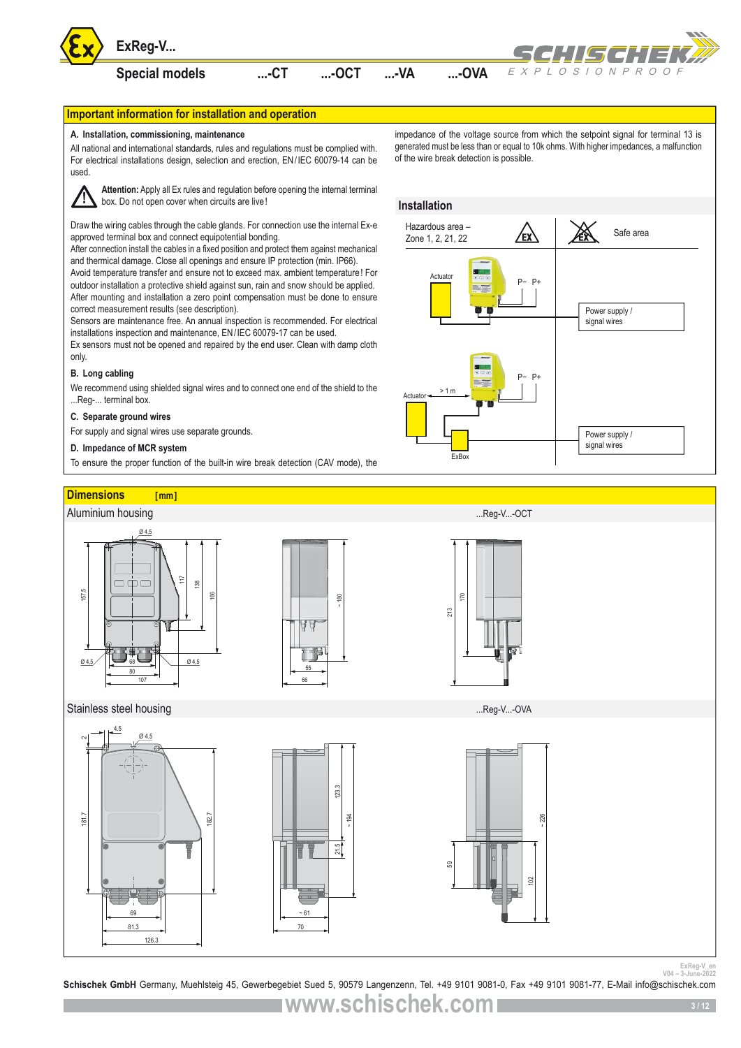

# **Important information for installation and operation**

### **A. Installation, commissioning, maintenance**

All national and international standards, rules and regulations must be complied with. For electrical installations design, selection and erection, EN/IEC 60079-14 can be used.



**Attention:** Apply all Ex rules and regulation before opening the internal terminal box. Do not open cover when circuits are live!

Draw the wiring cables through the cable glands. For connection use the internal Ex-e approved terminal box and connect equipotential bonding.

After connection install the cables in a fixed position and protect them against mechanical and thermical damage. Close all openings and ensure IP protection (min. IP66).

Avoid temperature transfer and ensure not to exceed max. ambient temperature! For outdoor installation a protective shield against sun, rain and snow should be applied. After mounting and installation a zero point compensation must be done to ensure correct measurement results (see description).

Sensors are maintenance free. An annual inspection is recommended. For electrical installations inspection and maintenance, EN/IEC 60079-17 can be used.

Ex sensors must not be opened and repaired by the end user. Clean with damp cloth only.

# **B. Long cabling**

We recommend using shielded signal wires and to connect one end of the shield to the ...Reg-... terminal box.

## **C. Separate ground wires**

For supply and signal wires use separate grounds.

## **D. Impedance of MCR system**

To ensure the proper function of the built-in wire break detection (CAV mode), the



## **Installation**





<sup>ExReg-V\_en</sup><br><sup>Schischek GmbH Germany, Muehlsteig 45, Gewerbegebiet Sued 5, 90579 Langenzenn, Tel. +49 9101 9081-0, Fax +49 9101 9081-77, E-Mail info@schischek.com</sup>

**www.schischek.com**

**3 / 12**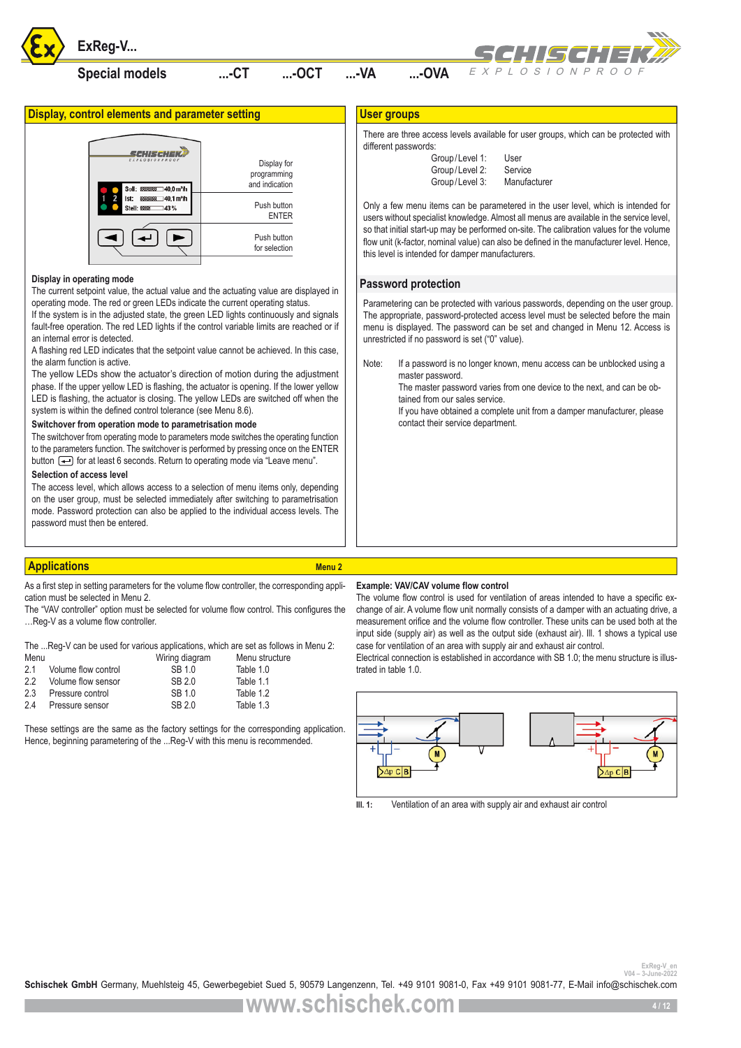

# **Special models ...-CT ...-OCT ...-VA ...-OVA**



**Display, control elements and parameter setting** 



## **Display in operating mode**

The current setpoint value, the actual value and the actuating value are displayed in operating mode. The red or green LEDs indicate the current operating status.

If the system is in the adjusted state, the green LED lights continuously and signals fault-free operation. The red LED lights if the control variable limits are reached or if an internal error is detected.

A flashing red LED indicates that the setpoint value cannot be achieved. In this case, the alarm function is active.

The yellow LEDs show the actuator's direction of motion during the adjustment phase. If the upper yellow LED is flashing, the actuator is opening. If the lower yellow LED is flashing, the actuator is closing. The yellow LEDs are switched off when the system is within the defined control tolerance (see Menu 8.6).

### **Switchover from operation mode to parametrisation mode**

The switchover from operating mode to parameters mode switches the operating function to the parameters function. The switchover is performed by pressing once on the ENTER button  $\leftarrow$  for at least 6 seconds. Return to operating mode via "Leave menu".

# **Selection of access level**

The access level, which allows access to a selection of menu items only, depending on the user group, must be selected immediately after switching to parametrisation mode. Password protection can also be applied to the individual access levels. The password must then be entered.

# **Applications Menu 2** Applications Menu 2

As a first step in setting parameters for the volume flow controller, the corresponding application must be selected in Menu 2.

The "VAV controller" option must be selected for volume flow control. This configures the …Reg-V as a volume flow controller.

| The Reg-V can be used for various applications, which are set as follows in Menu 2: |  |  |
|-------------------------------------------------------------------------------------|--|--|
|                                                                                     |  |  |

| Menu |                     | Wiring diagram | Menu structure |
|------|---------------------|----------------|----------------|
| 21   | Volume flow control | SB 1.0         | Table 1.0      |
| 2.2  | Volume flow sensor  | SB 2.0         | Table 1.1      |
| 2.3  | Pressure control    | SB 1.0         | Table 1.2      |
| 2.4  | Pressure sensor     | SB 2.0         | Table 1.3      |

These settings are the same as the factory settings for the corresponding application. Hence, beginning parametering of the ...Reg-V with this menu is recommended.

# **User groups**

There are three access levels available for user groups, which can be protected with different passwords:

| Group/Level 1: | User         |
|----------------|--------------|
| Group/Level 2: | Service      |
| Group/Level 3: | Manufacturer |

Only a few menu items can be parametered in the user level, which is intended for users without specialist knowledge. Almost all menus are available in the service level, so that initial start-up may be performed on-site. The calibration values for the volume flow unit (k-factor, nominal value) can also be defined in the manufacturer level. Hence, this level is intended for damper manufacturers.

# **Password protection**

Parametering can be protected with various passwords, depending on the user group. The appropriate, password-protected access level must be selected before the main menu is displayed. The password can be set and changed in Menu 12. Access is unrestricted if no password is set ("0" value).

Note: If a password is no longer known, menu access can be unblocked using a master password.

The master password varies from one device to the next, and can be obtained from our sales service.

If you have obtained a complete unit from a damper manufacturer, please contact their service department.

# **Example: VAV/CAV volume flow control**

The volume flow control is used for ventilation of areas intended to have a specific exchange of air. A volume flow unit normally consists of a damper with an actuating drive, a measurement orifice and the volume flow controller. These units can be used both at the input side (supply air) as well as the output side (exhaust air). Ill. 1 shows a typical use case for ventilation of an area with supply air and exhaust air control.

Electrical connection is established in accordance with SB 1.0; the menu structure is illustrated in table 1.0.

![](_page_3_Figure_33.jpeg)

**Ill. 1:** Ventilation of an area with supply air and exhaust air control

<sup>ExReg-V\_er</sup><br><sup>2022</sup>-<sup>2014</sup> <sup>V04 - 3-June-2022<br>**Schischek GmbH** Germany, Muehlsteig 45, Gewerbegebiet Sued 5, 90579 Langenzenn, Tel. +49 9101 9081-0, Fax +49 9101 9081-77, E-Mail info@schischek.com</sup>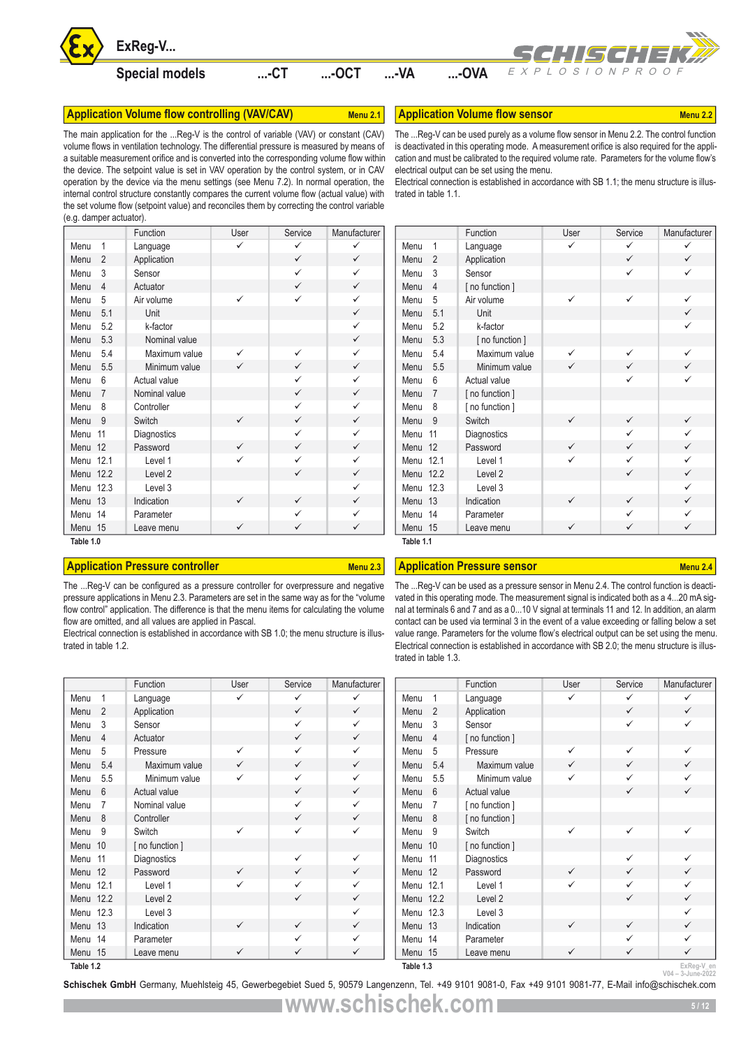![](_page_4_Picture_0.jpeg)

# **Application Volume flow controlling (VAV/CAV)** Menu 2.1 **Application Volume flow sensor** Menu 2.2

The main application for the ...Reg-V is the control of variable (VAV) or constant (CAV) volume flows in ventilation technology. The differential pressure is measured by means of a suitable measurement orifice and is converted into the corresponding volume flow within the device. The setpoint value is set in VAV operation by the control system, or in CAV operation by the device via the menu settings (see Menu 7.2). In normal operation, the internal control structure constantly compares the current volume flow (actual value) with the set volume flow (setpoint value) and reconciles them by correcting the control variable (e.g. damper actuator).

|           |                | Function           | User         | Service      | Manufacturer |
|-----------|----------------|--------------------|--------------|--------------|--------------|
| Menu      | 1              | Language           | ✓            | ✓            | ✓            |
| Menu      | $\overline{2}$ | Application        |              | $\checkmark$ | $\checkmark$ |
| Menu      | 3              | Sensor             |              | $\checkmark$ | $\checkmark$ |
| Menu      | $\overline{4}$ | Actuator           |              | $\checkmark$ | $\checkmark$ |
| Menu      | 5              | Air volume         | ✓            | ✓            | $\checkmark$ |
| Menu      | 5.1            | Unit               |              |              | $\checkmark$ |
| Menu      | 5.2            | k-factor           |              |              | $\checkmark$ |
| Menu      | 5.3            | Nominal value      |              |              | $\checkmark$ |
| Menu      | 5.4            | Maximum value      | $\checkmark$ | ✓            | $\checkmark$ |
| Menu      | 5.5            | Minimum value      | $\checkmark$ | $\checkmark$ | $\checkmark$ |
| Menu      | 6              | Actual value       |              | $\checkmark$ | $\checkmark$ |
| Menu      | 7              | Nominal value      |              | $\checkmark$ | $\checkmark$ |
| Menu      | 8              | Controller         |              | ✓            | $\checkmark$ |
| Menu      | 9              | Switch             | $\checkmark$ | $\checkmark$ | $\checkmark$ |
| Menu      | 11             | Diagnostics        |              | ✓            | $\checkmark$ |
| Menu 12   |                | Password           | $\checkmark$ | $\checkmark$ | $\checkmark$ |
| Menu 12.1 |                | Level 1            | $\checkmark$ | $\checkmark$ | $\checkmark$ |
| Menu      | 12.2           | Level <sub>2</sub> |              | ✓            | $\checkmark$ |
| Menu 12.3 |                | Level 3            |              |              | $\checkmark$ |
| Menu      | 13             | Indication         | $\checkmark$ | $\checkmark$ | $\checkmark$ |
| Menu      | 14             | Parameter          |              | ✓            | $\checkmark$ |
| Menu 15   |                | Leave menu         | $\checkmark$ | $\checkmark$ | $\checkmark$ |
| Tahle 10  |                |                    |              |              |              |

# **Application Pressure controller Menu 2.3 Application Pressure sensor Menu 2.4 Application Pressure sensor** Menu 2.4

**Table 1.2**

The ...Reg-V can be configured as a pressure controller for overpressure and negative pressure applications in Menu 2.3. Parameters are set in the same way as for the "volume flow control" application. The difference is that the menu items for calculating the volume flow are omitted, and all values are applied in Pascal.

Electrical connection is established in accordance with SB 1.0; the menu structure is illustrated in table 1.2.

|           |                | Function           | User         | Service      | Manufacturer |
|-----------|----------------|--------------------|--------------|--------------|--------------|
| Menu      | 1              | Language           | ✓            | ✓            | $\checkmark$ |
| Menu      | $\mathfrak{p}$ | Application        |              | $\checkmark$ | $\checkmark$ |
| Menu      | 3              | Sensor             |              | ✓            | $\checkmark$ |
| Menu      | 4              | Actuator           |              | $\checkmark$ | $\checkmark$ |
| Menu      | 5              | Pressure           | $\checkmark$ | ✓            | $\checkmark$ |
| Menu      | 5.4            | Maximum value      | $\checkmark$ | $\checkmark$ | $\checkmark$ |
| Menu      | 5.5            | Minimum value      | ✓            | ✓            | $\checkmark$ |
| Menu      | 6              | Actual value       |              | $\checkmark$ | $\checkmark$ |
| Menu      | 7              | Nominal value      |              | ✓            | $\checkmark$ |
| Menu      | 8              | Controller         |              | $\checkmark$ | $\checkmark$ |
| Menu      | 9              | Switch             | ✓            | ✓            | ✓            |
| Menu      | 10             | [ no function ]    |              |              |              |
| Menu      | 11             | Diagnostics        |              | ✓            | ✓            |
| Menu      | 12             | Password           | $\checkmark$ | ✓            | $\checkmark$ |
| Menu 12.1 |                | Level 1            | ✓            | ✓            | ✓            |
| Menu 12.2 |                | Level <sub>2</sub> |              | ✓            | $\checkmark$ |
| Menu 12.3 |                | Level 3            |              |              | ✓            |
| Menu      | 13             | Indication         | $\checkmark$ | ✓            | $\checkmark$ |
| Menu 14   |                | Parameter          |              | $\checkmark$ | ✓            |
| Menu      | 15             | Leave menu         | ✓            | ✓            | ✓            |

| ExReg-V                                                                                                                                                                                                                                                                                                                                                                                                                                                                                                                                                                   |              |              |              |                        |                                                                                                                                                                                                                                                                                                                                                                                                                                                                                                                                                                                                                        | SCHISCHEK#     |                   |                                 |
|---------------------------------------------------------------------------------------------------------------------------------------------------------------------------------------------------------------------------------------------------------------------------------------------------------------------------------------------------------------------------------------------------------------------------------------------------------------------------------------------------------------------------------------------------------------------------|--------------|--------------|--------------|------------------------|------------------------------------------------------------------------------------------------------------------------------------------------------------------------------------------------------------------------------------------------------------------------------------------------------------------------------------------------------------------------------------------------------------------------------------------------------------------------------------------------------------------------------------------------------------------------------------------------------------------------|----------------|-------------------|---------------------------------|
| <b>Special models</b>                                                                                                                                                                                                                                                                                                                                                                                                                                                                                                                                                     |              | $$ -CT       | $$ -OCT      | -VA                    | $$ -OVA                                                                                                                                                                                                                                                                                                                                                                                                                                                                                                                                                                                                                | EXPLOSIONPROOF |                   |                                 |
| n Volume flow controlling (VAV/CAV)                                                                                                                                                                                                                                                                                                                                                                                                                                                                                                                                       |              |              | Menu 2.1     |                        | <b>Application Volume flow sensor</b>                                                                                                                                                                                                                                                                                                                                                                                                                                                                                                                                                                                  |                |                   | Menu 2.2                        |
| ication for the Reg-V is the control of variable (VAV) or constant (CAV)<br>n ventilation technology. The differential pressure is measured by means of<br>surement orifice and is converted into the corresponding volume flow within<br>e setpoint value is set in VAV operation by the control system, or in CAV<br>ne device via the menu settings (see Menu 7.2). In normal operation, the<br>structure constantly compares the current volume flow (actual value) with<br>flow (setpoint value) and reconciles them by correcting the control variable<br>ctuator). |              |              |              | trated in table 1.1.   | The  Reg-V can be used purely as a volume flow sensor in Menu 2.2. The control function<br>is deactivated in this operating mode. A measurement orifice is also required for the appli-<br>cation and must be calibrated to the required volume rate. Parameters for the volume flow's<br>electrical output can be set using the menu.<br>Electrical connection is established in accordance with SB 1.1; the menu structure is illus-                                                                                                                                                                                 |                |                   |                                 |
| Function                                                                                                                                                                                                                                                                                                                                                                                                                                                                                                                                                                  | User         | Service      | Manufacturer |                        | Function                                                                                                                                                                                                                                                                                                                                                                                                                                                                                                                                                                                                               | User           | Service           | Manufacturer                    |
| Language                                                                                                                                                                                                                                                                                                                                                                                                                                                                                                                                                                  | $\checkmark$ | ✓            | ✓            | Menu<br>$\mathbf{1}$   | Language                                                                                                                                                                                                                                                                                                                                                                                                                                                                                                                                                                                                               | $\checkmark$   | $\checkmark$      | ✓                               |
| Application                                                                                                                                                                                                                                                                                                                                                                                                                                                                                                                                                               |              | ✓            | $\checkmark$ | $\overline{2}$<br>Menu | Application                                                                                                                                                                                                                                                                                                                                                                                                                                                                                                                                                                                                            |                | ✓                 | $\checkmark$                    |
| Sensor                                                                                                                                                                                                                                                                                                                                                                                                                                                                                                                                                                    |              | ✓            | ✓            | 3<br>Menu              | Sensor                                                                                                                                                                                                                                                                                                                                                                                                                                                                                                                                                                                                                 |                | $\checkmark$      | ✓                               |
| Actuator                                                                                                                                                                                                                                                                                                                                                                                                                                                                                                                                                                  |              | ✓            | $\checkmark$ | $\overline{4}$<br>Menu | [ no function ]                                                                                                                                                                                                                                                                                                                                                                                                                                                                                                                                                                                                        |                |                   |                                 |
| Air volume                                                                                                                                                                                                                                                                                                                                                                                                                                                                                                                                                                | ✓            | $\checkmark$ | ✓            | 5<br>Menu              | Air volume                                                                                                                                                                                                                                                                                                                                                                                                                                                                                                                                                                                                             | ✓              | $\checkmark$      | ✓                               |
| Unit                                                                                                                                                                                                                                                                                                                                                                                                                                                                                                                                                                      |              |              | ✓            | 5.1<br>Menu            | Unit                                                                                                                                                                                                                                                                                                                                                                                                                                                                                                                                                                                                                   |                |                   | $\checkmark$                    |
| k-factor                                                                                                                                                                                                                                                                                                                                                                                                                                                                                                                                                                  |              |              | ✓            | 5.2<br>Menu            | k-factor                                                                                                                                                                                                                                                                                                                                                                                                                                                                                                                                                                                                               |                |                   | ✓                               |
| Nominal value                                                                                                                                                                                                                                                                                                                                                                                                                                                                                                                                                             |              |              | ✓            | 5.3<br>Menu            | [ no function ]                                                                                                                                                                                                                                                                                                                                                                                                                                                                                                                                                                                                        |                |                   |                                 |
| Maximum value                                                                                                                                                                                                                                                                                                                                                                                                                                                                                                                                                             | ✓            | ✓            | ✓            | 5.4<br>Menu            | Maximum value                                                                                                                                                                                                                                                                                                                                                                                                                                                                                                                                                                                                          | ✓              | ✓                 | ✓                               |
| Minimum value                                                                                                                                                                                                                                                                                                                                                                                                                                                                                                                                                             | $\checkmark$ | $\checkmark$ | $\checkmark$ | 5.5<br>Menu            | Minimum value                                                                                                                                                                                                                                                                                                                                                                                                                                                                                                                                                                                                          | $\checkmark$   | $\checkmark$      | $\checkmark$                    |
| Actual value                                                                                                                                                                                                                                                                                                                                                                                                                                                                                                                                                              |              | ✓            | ✓            | 6<br>Menu              | Actual value                                                                                                                                                                                                                                                                                                                                                                                                                                                                                                                                                                                                           |                | ✓                 | ✓                               |
| Nominal value                                                                                                                                                                                                                                                                                                                                                                                                                                                                                                                                                             |              | ✓            | ✓            | $\overline{7}$<br>Menu | [ no function ]                                                                                                                                                                                                                                                                                                                                                                                                                                                                                                                                                                                                        |                |                   |                                 |
| Controller                                                                                                                                                                                                                                                                                                                                                                                                                                                                                                                                                                |              | ✓            | ✓            | 8<br>Menu              | [ no function ]                                                                                                                                                                                                                                                                                                                                                                                                                                                                                                                                                                                                        |                |                   |                                 |
| Switch                                                                                                                                                                                                                                                                                                                                                                                                                                                                                                                                                                    | ✓            | $\checkmark$ | $\checkmark$ | -9<br>Menu             | Switch                                                                                                                                                                                                                                                                                                                                                                                                                                                                                                                                                                                                                 | ✓              | $\checkmark$      | ✓                               |
| Diagnostics                                                                                                                                                                                                                                                                                                                                                                                                                                                                                                                                                               |              | ✓            | ✓            | Menu 11                | Diagnostics                                                                                                                                                                                                                                                                                                                                                                                                                                                                                                                                                                                                            |                | ✓                 | ✓                               |
| Password                                                                                                                                                                                                                                                                                                                                                                                                                                                                                                                                                                  | ✓            | ✓            | ✓            | Menu 12                | Password                                                                                                                                                                                                                                                                                                                                                                                                                                                                                                                                                                                                               | ✓              | $\checkmark$      | $\checkmark$                    |
| Level 1                                                                                                                                                                                                                                                                                                                                                                                                                                                                                                                                                                   | ✓            | ✓            | ✓            | Menu 12.1              | Level 1                                                                                                                                                                                                                                                                                                                                                                                                                                                                                                                                                                                                                | ✓              | ✓                 | ✓                               |
| Level 2                                                                                                                                                                                                                                                                                                                                                                                                                                                                                                                                                                   |              | $\checkmark$ | ✓            | Menu 12.2              | Level 2                                                                                                                                                                                                                                                                                                                                                                                                                                                                                                                                                                                                                |                | $\checkmark$      | $\checkmark$                    |
| Level 3                                                                                                                                                                                                                                                                                                                                                                                                                                                                                                                                                                   |              |              | ✓            | Menu 12.3              | Level 3                                                                                                                                                                                                                                                                                                                                                                                                                                                                                                                                                                                                                |                |                   | ✓                               |
| Indication                                                                                                                                                                                                                                                                                                                                                                                                                                                                                                                                                                | ✓            | ✓            | $\checkmark$ | Menu 13                | Indication                                                                                                                                                                                                                                                                                                                                                                                                                                                                                                                                                                                                             | ✓              | $\checkmark$      | $\checkmark$                    |
| Parameter                                                                                                                                                                                                                                                                                                                                                                                                                                                                                                                                                                 |              | ✓            | ✓            | Menu 14                | Parameter                                                                                                                                                                                                                                                                                                                                                                                                                                                                                                                                                                                                              |                | ✓                 | ✓                               |
| Leave menu                                                                                                                                                                                                                                                                                                                                                                                                                                                                                                                                                                | $\checkmark$ | $\checkmark$ | ✓            | Menu 15                | Leave menu                                                                                                                                                                                                                                                                                                                                                                                                                                                                                                                                                                                                             | $\checkmark$   | $\checkmark$      | $\checkmark$                    |
| n Pressure controller<br>can be configured as a pressure controller for overpressure and negative<br>cations in Menu 2.3. Parameters are set in the same way as for the "volume<br>pplication. The difference is that the menu items for calculating the volume<br>d, and all values are applied in Pascal.<br>ection is established in accordance with SB 1.0; the menu structure is illus-<br>1.2.                                                                                                                                                                      |              |              | Menu 2.3     | trated in table 1.3.   | <b>Application Pressure sensor</b><br>The  Reg-V can be used as a pressure sensor in Menu 2.4. The control function is deacti-<br>vated in this operating mode. The measurement signal is indicated both as a 420 mA sig-<br>nal at terminals 6 and 7 and as a 010 V signal at terminals 11 and 12. In addition, an alarm<br>contact can be used via terminal 3 in the event of a value exceeding or falling below a set<br>value range. Parameters for the volume flow's electrical output can be set using the menu.<br>Electrical connection is established in accordance with SB 2.0; the menu structure is illus- |                |                   | Menu 2.4                        |
| Function                                                                                                                                                                                                                                                                                                                                                                                                                                                                                                                                                                  | User         | Service      | Manufacturer |                        | Function                                                                                                                                                                                                                                                                                                                                                                                                                                                                                                                                                                                                               | User           | Service           | Manufacturer                    |
| Language                                                                                                                                                                                                                                                                                                                                                                                                                                                                                                                                                                  | $\checkmark$ | ✓            | ✓            | Menu<br>1              | Language                                                                                                                                                                                                                                                                                                                                                                                                                                                                                                                                                                                                               | $\checkmark$   | ✓                 | ✓                               |
| Application                                                                                                                                                                                                                                                                                                                                                                                                                                                                                                                                                               |              | ✓            | $\checkmark$ | $\overline{2}$<br>Menu | Application                                                                                                                                                                                                                                                                                                                                                                                                                                                                                                                                                                                                            |                | $\checkmark$      | $\checkmark$                    |
| Sensor                                                                                                                                                                                                                                                                                                                                                                                                                                                                                                                                                                    |              | ✓            | ✓            | 3<br>Menu              | Sensor                                                                                                                                                                                                                                                                                                                                                                                                                                                                                                                                                                                                                 |                | $\checkmark$      | ✓                               |
| Actuator                                                                                                                                                                                                                                                                                                                                                                                                                                                                                                                                                                  |              | ✓            | ✓            | $\overline{4}$<br>Menu | [no function]                                                                                                                                                                                                                                                                                                                                                                                                                                                                                                                                                                                                          |                |                   |                                 |
| Pressure                                                                                                                                                                                                                                                                                                                                                                                                                                                                                                                                                                  | ✓            | ✓            | ✓            | 5<br>Menu              | Pressure                                                                                                                                                                                                                                                                                                                                                                                                                                                                                                                                                                                                               | ✓              | $\checkmark$      | ✓                               |
| Maximum value                                                                                                                                                                                                                                                                                                                                                                                                                                                                                                                                                             | $\checkmark$ | ✓            | $\checkmark$ | 5.4<br>Menu            | Maximum value                                                                                                                                                                                                                                                                                                                                                                                                                                                                                                                                                                                                          | $\checkmark$   | $\checkmark$      | ✓                               |
| Minimum value                                                                                                                                                                                                                                                                                                                                                                                                                                                                                                                                                             | ✓            | ✓            | ✓            | 5.5<br>Menu            | Minimum value                                                                                                                                                                                                                                                                                                                                                                                                                                                                                                                                                                                                          | ✓              | ✓                 | ✓                               |
| Actual value                                                                                                                                                                                                                                                                                                                                                                                                                                                                                                                                                              |              | ✓            | $\checkmark$ | 6<br>Menu              | Actual value                                                                                                                                                                                                                                                                                                                                                                                                                                                                                                                                                                                                           |                | $\checkmark$      | $\checkmark$                    |
| Nominal value                                                                                                                                                                                                                                                                                                                                                                                                                                                                                                                                                             |              | ✓            | ✓            | 7<br>Menu              | [ no function ]                                                                                                                                                                                                                                                                                                                                                                                                                                                                                                                                                                                                        |                |                   |                                 |
| Controller                                                                                                                                                                                                                                                                                                                                                                                                                                                                                                                                                                |              | ✓            | ✓            | 8<br>Menu              | [no function]                                                                                                                                                                                                                                                                                                                                                                                                                                                                                                                                                                                                          |                |                   |                                 |
| Switch                                                                                                                                                                                                                                                                                                                                                                                                                                                                                                                                                                    | ✓            | ✓            | ✓            | 9<br>Menu              | Switch                                                                                                                                                                                                                                                                                                                                                                                                                                                                                                                                                                                                                 | $\checkmark$   | ✓                 | ✓                               |
| [ no function ]                                                                                                                                                                                                                                                                                                                                                                                                                                                                                                                                                           |              |              |              | Menu 10                | [no function]                                                                                                                                                                                                                                                                                                                                                                                                                                                                                                                                                                                                          |                |                   |                                 |
| Diagnostics                                                                                                                                                                                                                                                                                                                                                                                                                                                                                                                                                               |              | ✓            | ✓            | Menu 11                | Diagnostics                                                                                                                                                                                                                                                                                                                                                                                                                                                                                                                                                                                                            |                | ✓                 | ✓                               |
| Password                                                                                                                                                                                                                                                                                                                                                                                                                                                                                                                                                                  | ✓            | ✓            | ✓            | Menu 12                | Password                                                                                                                                                                                                                                                                                                                                                                                                                                                                                                                                                                                                               |                | $\checkmark$      | ✓                               |
| Level 1                                                                                                                                                                                                                                                                                                                                                                                                                                                                                                                                                                   | ✓            | ✓            | ✓            | Menu 12.1              | Level 1                                                                                                                                                                                                                                                                                                                                                                                                                                                                                                                                                                                                                | $\checkmark$   | ✓                 | ✓                               |
| Level 2                                                                                                                                                                                                                                                                                                                                                                                                                                                                                                                                                                   |              | $\checkmark$ | ✓            | Menu 12.2              | Level 2                                                                                                                                                                                                                                                                                                                                                                                                                                                                                                                                                                                                                |                | $\checkmark$      | ✓                               |
| Level 3                                                                                                                                                                                                                                                                                                                                                                                                                                                                                                                                                                   |              |              | ✓            | Menu 12.3              | Level 3                                                                                                                                                                                                                                                                                                                                                                                                                                                                                                                                                                                                                |                |                   | ✓                               |
| Indication                                                                                                                                                                                                                                                                                                                                                                                                                                                                                                                                                                | ✓            | ✓            | $\checkmark$ | Menu 13                | Indication                                                                                                                                                                                                                                                                                                                                                                                                                                                                                                                                                                                                             |                | $\checkmark$      | ✓                               |
| Parameter                                                                                                                                                                                                                                                                                                                                                                                                                                                                                                                                                                 | ✓            | ✓<br>✓       | ✓<br>✓       | Menu 14                | Parameter                                                                                                                                                                                                                                                                                                                                                                                                                                                                                                                                                                                                              |                | ✓<br>$\checkmark$ | ✓<br>✓                          |
| Leave menu                                                                                                                                                                                                                                                                                                                                                                                                                                                                                                                                                                |              |              |              | Menu 15                | Leave menu                                                                                                                                                                                                                                                                                                                                                                                                                                                                                                                                                                                                             | ✓              |                   |                                 |
|                                                                                                                                                                                                                                                                                                                                                                                                                                                                                                                                                                           |              |              |              | Table 1.3              |                                                                                                                                                                                                                                                                                                                                                                                                                                                                                                                                                                                                                        |                |                   | ExReg-V_en<br>V04 - 3-June-2022 |

|           |                | Function        | User         | Service      | Manufacturer |
|-----------|----------------|-----------------|--------------|--------------|--------------|
| Menu      | 1              | Language        | ✓            | ✓            | ✓            |
| Menu      | $\overline{2}$ | Application     |              | $\checkmark$ | $\checkmark$ |
| Menu      | 3              | Sensor          |              | ✓            | $\checkmark$ |
| Menu      | 4              | [ no function ] |              |              |              |
| Menu      | 5              | Pressure        | ✓            | ✓            | $\checkmark$ |
| Menu      | 5.4            | Maximum value   | $\checkmark$ | $\checkmark$ | $\checkmark$ |
| Menu      | 5.5            | Minimum value   | ✓            | ✓            | ✓            |
| Menu      | 6              | Actual value    |              | $\checkmark$ | $\checkmark$ |
| Menu      | 7              | [ no function ] |              |              |              |
| Menu      | 8              | [ no function ] |              |              |              |
| Menu      | 9              | Switch          | $\checkmark$ | ✓            | $\checkmark$ |
| Menu      | 10             | [ no function ] |              |              |              |
| Menu      | 11             | Diagnostics     |              | $\checkmark$ | ✓            |
| Menu      | 12             | Password        | $\checkmark$ | $\checkmark$ | $\checkmark$ |
| Menu 12.1 |                | Level 1         | ✓            | ✓            | $\checkmark$ |
| Menu 12.2 |                | Level 2         |              | $\checkmark$ | $\checkmark$ |
| Menu 12.3 |                | Level 3         |              |              | $\checkmark$ |
| Menu      | 13             | Indication      | ✓            | $\checkmark$ | $\checkmark$ |
| Menu 14   |                | Parameter       |              | ✓            | $\checkmark$ |
| Menu 15   |                | Leave menu      | $\checkmark$ | ✓            | $\checkmark$ |
| Table 1.3 |                |                 |              |              | ExReg-V en   |

**Schischek GmbH** Germany, Muehlsteig 45, Gewerbegebiet Sued 5, 90579 Langenzenn, Tel. +49 9101 9081-0, Fax +49 9101 9081-77, E-Mail info@schischek.com **ExReg-V\_en**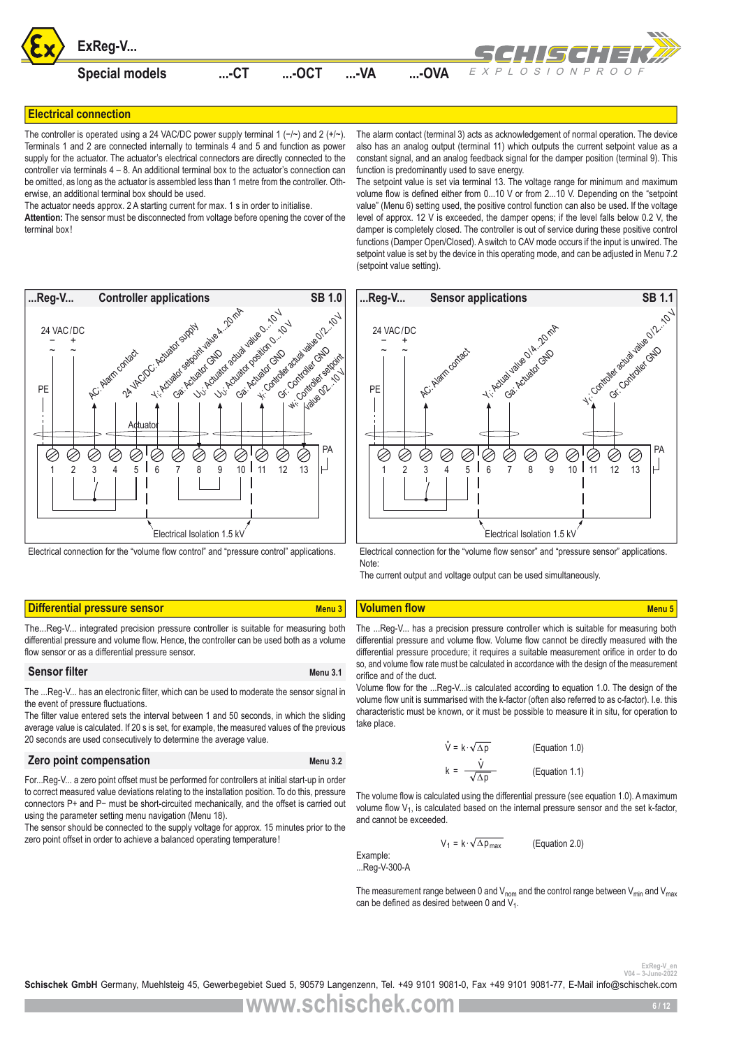![](_page_5_Picture_0.jpeg)

# **Electrical connection**

The controller is operated using a 24 VAC/DC power supply terminal 1 (-/~) and 2 (+/~). Terminals 1 and 2 are connected internally to terminals 4 and 5 and function as power supply for the actuator. The actuator's electrical connectors are directly connected to the controller via terminals  $4 - 8$ . An additional terminal box to the actuator's connection can be omitted, as long as the actuator is assembled less than 1 metre from the controller. Otherwise, an additional terminal box should be used.

The actuator needs approx. 2 A starting current for max. 1 s in order to initialise.

**Attention:** The sensor must be disconnected from voltage before opening the cover of the terminal box!

![](_page_5_Figure_5.jpeg)

Electrical connection for the "volume flow control" and "pressure control" applications.

# **Differential pressure sensor Menu 3 Menu 3 Volumen flow Menu 3 Volumen flow** Menu 5

The...Reg-V... integrated precision pressure controller is suitable for measuring both differential pressure and volume flow. Hence, the controller can be used both as a volume flow sensor or as a differential pressure sensor.

### **Sensor filter** Menu 3.1

The ...Reg-V... has an electronic filter, which can be used to moderate the sensor signal in the event of pressure fluctuations.

The filter value entered sets the interval between 1 and 50 seconds, in which the sliding average value is calculated. If 20 s is set, for example, the measured values of the previous 20 seconds are used consecutively to determine the average value.

### **Zero point compensation** Menu 3.2

For...Reg-V... a zero point offset must be performed for controllers at initial start-up in order to correct measured value deviations relating to the installation position. To do this, pressure connectors P+ and P− must be short-circuited mechanically, and the offset is carried out using the parameter setting menu navigation (Menu 18).

The sensor should be connected to the supply voltage for approx. 15 minutes prior to the zero point offset in order to achieve a balanced operating temperature!

The alarm contact (terminal 3) acts as acknowledgement of normal operation. The device also has an analog output (terminal 11) which outputs the current setpoint value as a constant signal, and an analog feedback signal for the damper position (terminal 9). This function is predominantly used to save energy.

The setpoint value is set via terminal 13. The voltage range for minimum and maximum volume flow is defined either from 0...10 V or from 2...10 V. Depending on the "setpoint value" (Menu 6) setting used, the positive control function can also be used. If the voltage level of approx. 12 V is exceeded, the damper opens; if the level falls below 0.2 V, the damper is completely closed. The controller is out of service during these positive control functions (Damper Open/Closed). A switch to CAV mode occurs if the input is unwired. The setpoint value is set by the device in this operating mode, and can be adjusted in Menu 7.2 (setpoint value setting).

![](_page_5_Figure_17.jpeg)

Electrical connection for the "volume flow sensor" and "pressure sensor" applications. Note:

The current output and voltage output can be used simultaneously.

The ...Reg-V... has a precision pressure controller which is suitable for measuring both differential pressure and volume flow. Volume flow cannot be directly measured with the differential pressure procedure; it requires a suitable measurement orifice in order to do so, and volume flow rate must be calculated in accordance with the design of the measurement orifice and of the duct.

Volume flow for the ...Reg-V...is calculated according to equation 1.0. The design of the volume flow unit is summarised with the k-factor (often also referred to as c-factor). I.e. this characteristic must be known, or it must be possible to measure it in situ, for operation to take place.

$$
\dot{V} = k \cdot \sqrt{\Delta p}
$$
 (Equation 1.0)  

$$
k = \frac{\dot{V}}{\sqrt{\Delta p}}
$$
 (Equation 1.1)

The volume flow is calculated using the differential pressure (see equation 1.0). A maximum volume flow V<sub>1</sub>, is calculated based on the internal pressure sensor and the set k-factor, and cannot be exceeded.

> $V_1 = k \cdot \sqrt{\Delta p_{\text{max}}}$ (Equation 2.0)

Example: ...Reg-V-300-A

The measurement range between 0 and  $V_{\text{nom}}$  and the control range between  $V_{\text{min}}$  and  $V_{\text{max}}$ can be defined as desired between 0 and  $V_1$ .

<sup>ExReg-V\_er</sup><br><sup>2022</sup>-<sup>2024</sup> <sup>V04</sup>-3-June-2022<br>**Schischek GmbH** Germany, Muehlsteig 45, Gewerbegebiet Sued 5, 90579 Langenzenn, Tel. +49 9101 9081-0, Fax +49 9101 9081-77, E-Mail info@schischek.com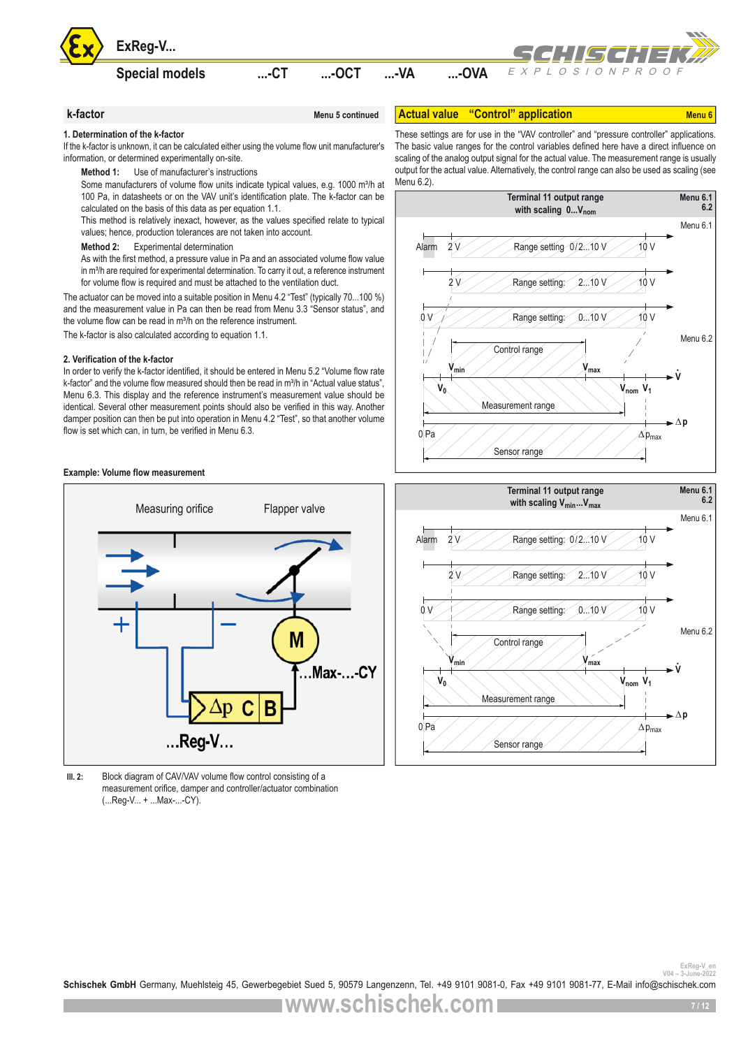![](_page_6_Picture_0.jpeg)

**Special models ...-CT ...-OCT ...-VA ...-OVA**

**k-factor** Menu 5 continued

![](_page_6_Picture_3.jpeg)

**Actual value "Control" application** Menu 6

### **1. Determination of the k-factor**

If the k-factor is unknown, it can be calculated either using the volume flow unit manufacturer's information, or determined experimentally on-site.

**Method 1:** Use of manufacturer's instructions

Some manufacturers of volume flow units indicate typical values, e.g. 1000 m<sup>3</sup>/h at 100 Pa, in datasheets or on the VAV unit's identification plate. The k-factor can be calculated on the basis of this data as per equation 1.1.

This method is relatively inexact, however, as the values specified relate to typical values; hence, production tolerances are not taken into account.

**Method 2:** Experimental determination

As with the first method, a pressure value in Pa and an associated volume flow value in m<sup>3</sup>/h are required for experimental determination. To carry it out, a reference instrument for volume flow is required and must be attached to the ventilation duct.

The actuator can be moved into a suitable position in Menu 4.2 "Test" (typically 70...100 %) and the measurement value in Pa can then be read from Menu 3.3 "Sensor status", and the volume flow can be read in m<sup>3</sup>/h on the reference instrument.

The k-factor is also calculated according to equation 1.1.

### **2. Verification of the k-factor**

In order to verify the k-factor identified, it should be entered in Menu 5.2 "Volume flow rate k-factor" and the volume flow measured should then be read in m<sup>3</sup>/h in "Actual value status", Menu 6.3. This display and the reference instrument's measurement value should be identical. Several other measurement points should also be verified in this way. Another damper position can then be put into operation in Menu 4.2 "Test", so that another volume flow is set which can, in turn, be verified in Menu 6.3.

### **Example: Volume flow measurement**

![](_page_6_Figure_17.jpeg)

**Ill. 2:** Block diagram of CAV/VAV volume flow control consisting of a measurement orifice, damper and controller/actuator combination (...Reg-V... + ...Max-...-CY).

These settings are for use in the "VAV controller" and "pressure controller" applications. The basic value ranges for the control variables defined here have a direct influence on scaling of the analog output signal for the actual value. The measurement range is usually output for the actual value. Alternatively, the control range can also be used as scaling (see Menu 6.2)

![](_page_6_Figure_20.jpeg)

![](_page_6_Figure_21.jpeg)

<sup>ExReg-V\_en</sup><br>Schischek GmbH Germany, Muehlsteig 45, Gewerbegebiet Sued 5, 90579 Langenzenn, Tel. +49 9101 9081-0, Fax +49 9101 9081-77, E-Mail info@schischek.com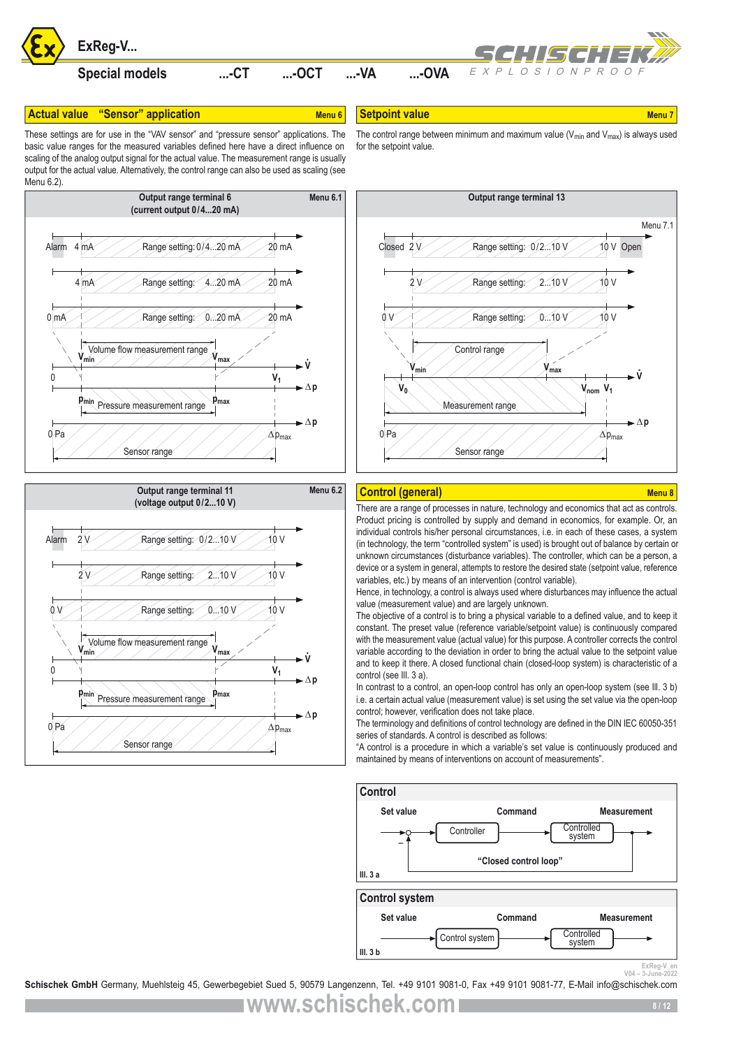![](_page_7_Picture_0.jpeg)

# **Actual value "Sensor" application Menu 6** Menu 6

**Setpoint value** Menu 7 and 2009 Menu 7 and 2009 Menu 7

These settings are for use in the "VAV sensor" and "pressure sensor" applications. The basic value ranges for the measured variables defined here have a direct influence on scaling of the analog output signal for the actual value. The measurement range is usually output for the actual value. Alternatively, the control range can also be used as scaling (see Menu 6.2)

![](_page_7_Figure_4.jpeg)

![](_page_7_Figure_5.jpeg)

The control range between minimum and maximum value ( $V_{min}$  and  $V_{max}$ ) is always used for the setpoint value.

![](_page_7_Figure_7.jpeg)

## **Control (general)** Menu 8 November 2014 Menu 8

There are a range of processes in nature, technology and economics that act as controls. Product pricing is controlled by supply and demand in economics, for example. Or, an individual controls his/her personal circumstances, i.e. in each of these cases, a system (in technology, the term "controlled system" is used) is brought out of balance by certain or unknown circumstances (disturbance variables). The controller, which can be a person, a device or a system in general, attempts to restore the desired state (setpoint value, reference variables, etc.) by means of an intervention (control variable).

Hence, in technology, a control is always used where disturbances may influence the actual value (measurement value) and are largely unknown.

The objective of a control is to bring a physical variable to a defined value, and to keep it constant. The preset value (reference variable/setpoint value) is continuously compared with the measurement value (actual value) for this purpose. A controller corrects the control variable according to the deviation in order to bring the actual value to the setpoint value and to keep it there. A closed functional chain (closed-loop system) is characteristic of a control (see Ill. 3 a).

In contrast to a control, an open-loop control has only an open-loop system (see III. 3 b) i.e. a certain actual value (measurement value) is set using the set value via the open-loop control; however, verification does not take place.

The terminology and definitions of control technology are defined in the DIN IEC 60050-351 series of standards. A control is described as follows:

"A control is a procedure in which a variable's set value is continuously produced and maintained by means of interventions on account of measurements".

![](_page_7_Figure_15.jpeg)

<sup>ExReg-V\_en</sup><br>2022-Suune-2022<br>**Schischek GmbH** Germany, Muehlsteig 45, Gewerbegebiet Sued 5, 90579 Langenzenn, Tel. +49 9101 9081-0, Fax +49 9101 9081-77, E-Mail info@schischek.com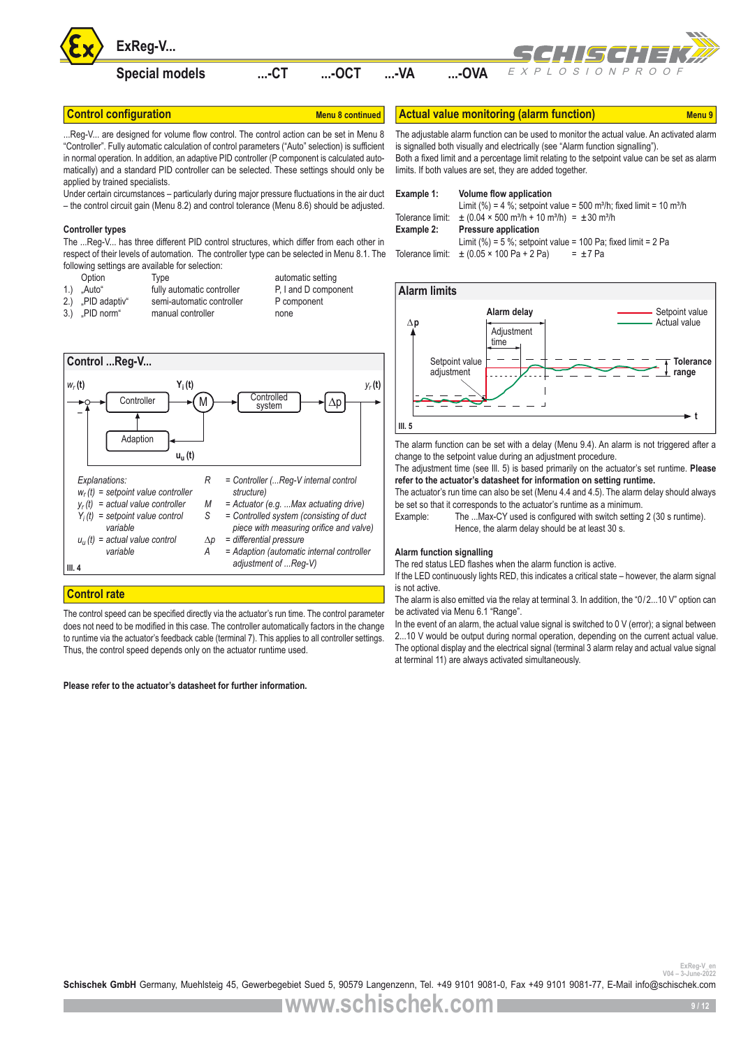![](_page_8_Picture_0.jpeg)

.Reg-V... are designed for volume flow control. The control action can be set in Menu 8 "Controller". Fully automatic calculation of control parameters ("Auto" selection) is sufficient in normal operation. In addition, an adaptive PID controller (P component is calculated automatically) and a standard PID controller can be selected. These settings should only be applied by trained specialists.

Under certain circumstances – particularly during major pressure fluctuations in the air duct – the control circuit gain (Menu 8.2) and control tolerance (Menu 8.6) should be adjusted.

### **Controller types**

The ...Reg-V... has three different PID control structures, which differ from each other in respect of their levels of automation. The controller type can be selected in Menu 8.1. The following settings are available for selection:

Option Type automatic setting<br>"Auto" fully automatic controller P, I and D component 1.) "Auto" fully automatic controller<br>2.) PID adaptiv" semi-automatic controlle 2.) .PID adaptiv" semi-automatic controller P component 3.) "PID norm" manual controller none

![](_page_8_Figure_8.jpeg)

# **Control rate**

The control speed can be specified directly via the actuator's run time. The control parameter does not need to be modified in this case. The controller automatically factors in the change to runtime via the actuator's feedback cable (terminal 7). This applies to all controller settings. Thus, the control speed depends only on the actuator runtime used.

### **Please refer to the actuator's datasheet for further information.**

**Control configuration Menu 8 Continued Actual value monitoring (alarm function)** Menu 9

The adjustable alarm function can be used to monitor the actual value. An activated alarm is signalled both visually and electrically (see "Alarm function signalling"). Both a fixed limit and a percentage limit relating to the setpoint value can be set as alarm limits. If both values are set, they are added together.

| Example 1:       | Volume flow application                                                                     |
|------------------|---------------------------------------------------------------------------------------------|
|                  | Limit (%) = 4 %; setpoint value = 500 m <sup>3</sup> /h; fixed limit = 10 m <sup>3</sup> /h |
| Tolerance limit: | $\pm$ (0.04 × 500 m <sup>3</sup> /h + 10 m <sup>3</sup> /h) = $\pm$ 30 m <sup>3</sup> /h    |
|                  |                                                                                             |
| Example 2:       | <b>Pressure application</b>                                                                 |
|                  | Limit (%) = 5 %; setpoint value = 100 Pa; fixed limit = 2 Pa                                |

### **∆p t Alarm limits Ill. 5** Setpoint value Actual value Setpoint value adjustment **Tolerance range Alarm delay Adjustment** time

The alarm function can be set with a delay (Menu 9.4). An alarm is not triggered after a change to the setpoint value during an adjustment procedure.

The adjustment time (see Ill. 5) is based primarily on the actuator's set runtime. **Please refer to the actuator's datasheet for information on setting runtime.** 

The actuator's run time can also be set (Menu 4.4 and 4.5). The alarm delay should always be set so that it corresponds to the actuator's runtime as a minimum.

Example: The ...Max-CY used is configured with switch setting 2 (30 s runtime). Hence, the alarm delay should be at least 30 s.

### **Alarm function signalling**

The red status LED flashes when the alarm function is active.

If the LED continuously lights RED, this indicates a critical state – however, the alarm signal is not active.

The alarm is also emitted via the relay at terminal 3. In addition, the "0/2...10 V" option can be activated via Menu 6.1 "Range".

In the event of an alarm, the actual value signal is switched to 0 V (error); a signal between 2...10 V would be output during normal operation, depending on the current actual value. The optional display and the electrical signal (terminal 3 alarm relay and actual value signal at terminal 11) are always activated simultaneously.

ExReg-V\_en<br><sup>2022</sup>-<sup>2024</sup> - <sup>2044</sup> Schischek GmbH Germany, Muehlsteig 45, Gewerbegebiet Sued 5, 90579 Langenzenn, Tel. +49 9101 9081-0, Fax +49 9101 9081-77, E-Mail info@schischek.com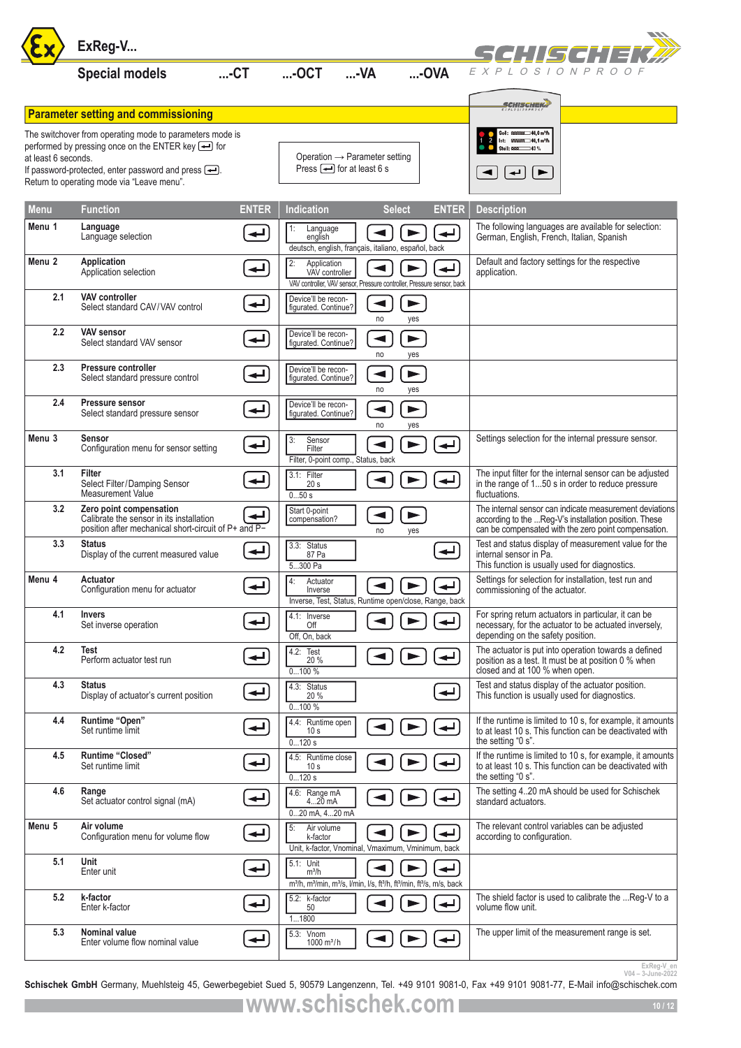|                                                                                                              | ExReg-V                                                                                                                     | SCHISCHE                 |                                                                                                                                                                        |                            |                                     |                                                                          |                                                                                                                                                                          |
|--------------------------------------------------------------------------------------------------------------|-----------------------------------------------------------------------------------------------------------------------------|--------------------------|------------------------------------------------------------------------------------------------------------------------------------------------------------------------|----------------------------|-------------------------------------|--------------------------------------------------------------------------|--------------------------------------------------------------------------------------------------------------------------------------------------------------------------|
|                                                                                                              | <b>Special models</b>                                                                                                       | $$ -CT                   | $$ -OCT                                                                                                                                                                | $M$ -                      | $$ -OVA                             | EXPLOSIONPROOF                                                           |                                                                                                                                                                          |
|                                                                                                              | <b>Parameter setting and commissioning</b>                                                                                  |                          |                                                                                                                                                                        |                            |                                     | <i>SCHISCHEK</i> )                                                       |                                                                                                                                                                          |
|                                                                                                              | The switchover from operating mode to parameters mode is                                                                    |                          |                                                                                                                                                                        |                            | Soll: 8888885 40,0 m <sup>3</sup> h |                                                                          |                                                                                                                                                                          |
| at least 6 seconds.                                                                                          | performed by pressing once on the ENTER key $\triangleq$ for                                                                |                          | Operation $\rightarrow$ Parameter setting                                                                                                                              |                            |                                     | 888888 40,1 m <sup>3</sup> h<br>$-43%$<br>Stell: 0000                    |                                                                                                                                                                          |
| If password-protected, enter password and press $\leftarrow$ .<br>Return to operating mode via "Leave menu". |                                                                                                                             |                          | Press $\boxed{\longrightarrow}$ for at least 6 s                                                                                                                       |                            |                                     | ↵<br>$\blacktriangleright$                                               |                                                                                                                                                                          |
| Menu                                                                                                         | Function                                                                                                                    | <b>ENTER</b>             | <b>Indication</b>                                                                                                                                                      | <b>Select</b>              | <b>ENTER</b>                        | <b>Description</b>                                                       |                                                                                                                                                                          |
| Menu 1                                                                                                       | Language<br>Language selection                                                                                              | لـه                      | $\vert$ 1:<br>Language<br>english<br>deutsch, english, français, italiano, español, back                                                                               |                            | ↵                                   | German, English, French, Italian, Spanish                                | The following languages are available for selection:                                                                                                                     |
| Menu <sub>2</sub>                                                                                            | Application<br>Application selection                                                                                        | اے                       | 2:<br>Application<br>VAV controller<br>VAV controller, VAV sensor, Pressure controller, Pressure sensor, back                                                          |                            |                                     | Default and factory settings for the respective<br>application.          |                                                                                                                                                                          |
| 2.1                                                                                                          | <b>VAV controller</b><br>Select standard CAV/VAV control                                                                    | ↵                        | Device'll be recon-<br>figurated. Continue?                                                                                                                            | ◀<br>no                    | $\blacktriangleright$<br>yes        |                                                                          |                                                                                                                                                                          |
| 2.2                                                                                                          | <b>VAV sensor</b><br>Select standard VAV sensor                                                                             | ↵                        | Device'll be recon-<br>figurated. Continue?                                                                                                                            | no                         | $\blacktriangleright$<br>yes        |                                                                          |                                                                                                                                                                          |
| 2.3                                                                                                          | Pressure controller<br>Select standard pressure control                                                                     | ↵                        | Device'll be recon-<br>figurated. Continue?                                                                                                                            | ◀<br>no                    | ▶<br>yes                            |                                                                          |                                                                                                                                                                          |
| 2.4                                                                                                          | Pressure sensor<br>Select standard pressure sensor                                                                          | ↵                        | Device'll be recon-<br>figurated. Continue?                                                                                                                            | $\blacktriangleleft$<br>no | $\blacktriangleright$<br>yes        |                                                                          |                                                                                                                                                                          |
| Menu 3                                                                                                       | <b>Sensor</b><br>Configuration menu for sensor setting                                                                      | ↵                        | Sensor<br>3:<br>Filter<br>Filter, 0-point comp., Status, back                                                                                                          |                            |                                     |                                                                          | Settings selection for the internal pressure sensor.                                                                                                                     |
| 3.1                                                                                                          | Filter<br>Select Filter/Damping Sensor<br>Measurement Value                                                                 | ↵                        | 3.1: Filter<br>20 s<br>050s                                                                                                                                            |                            | ↵                                   | fluctuations.                                                            | The input filter for the internal sensor can be adjusted<br>in the range of 150 s in order to reduce pressure                                                            |
| 3.2                                                                                                          | Zero point compensation<br>Calibrate the sensor in its installation<br>position after mechanical short-circuit of P+ and P- |                          | Start 0-point<br>compensation?                                                                                                                                         | ◀<br>no                    | yes                                 |                                                                          | The internal sensor can indicate measurement deviations<br>according to the Reg-V's installation position. These<br>can be compensated with the zero point compensation. |
| 3.3                                                                                                          | <b>Status</b><br>Display of the current measured value                                                                      | ↵                        | 3.3: Status<br>87 Pa<br>5300 Pa                                                                                                                                        |                            | $\overline{\phantom{0}}$            | internal sensor in Pa.<br>This function is usually used for diagnostics. | Test and status display of measurement value for the                                                                                                                     |
| Menu 4                                                                                                       | Actuator<br>Configuration menu for actuator                                                                                 | $\biguplus$              | $\sqrt{4}$ :<br>Actuator<br>Inverse<br>Inverse, Test, Status, Runtime open/close, Range, back                                                                          |                            | 의비년                                 | commissioning of the actuator.                                           | Settings for selection for installation, test run and                                                                                                                    |
| 4.1                                                                                                          | <b>Invers</b><br>Set inverse operation                                                                                      | ↵                        | 4.1: Inverse<br>Off<br>Off, On, back                                                                                                                                   |                            | ر اب                                | depending on the safety position.                                        | For spring return actuators in particular, it can be<br>necessary, for the actuator to be actuated inversely,                                                            |
| 4.2                                                                                                          | <b>Test</b><br>Perform actuator test run                                                                                    |                          | 4.2:<br>Test<br>20 %<br>0100%                                                                                                                                          |                            |                                     | closed and at 100 % when open.                                           | The actuator is put into operation towards a defined<br>position as a test. It must be at position 0 % when                                                              |
| 4.3                                                                                                          | <b>Status</b><br>Display of actuator's current position                                                                     | $\overline{\phantom{0}}$ | 4.3: Status<br>20 %<br>0100%                                                                                                                                           |                            | ↵                                   | This function is usually used for diagnostics.                           | Test and status display of the actuator position.                                                                                                                        |
| 4.4                                                                                                          | Runtime "Open"<br>Set runtime limit                                                                                         | ↵                        | 4.4: Runtime open<br>10 <sub>s</sub><br>0120s                                                                                                                          |                            | ↵                                   | the setting "0 s".                                                       | If the runtime is limited to 10 s, for example, it amounts<br>to at least 10 s. This function can be deactivated with                                                    |
| 4.5                                                                                                          | Runtime "Closed"<br>Set runtime limit                                                                                       | ↵                        | 4.5: Runtime close<br>10 <sub>s</sub><br>0120s                                                                                                                         |                            |                                     | the setting "0 s".                                                       | If the runtime is limited to 10 s, for example, it amounts<br>to at least 10 s. This function can be deactivated with                                                    |
| 4.6                                                                                                          | Range<br>Set actuator control signal (mA)                                                                                   | ↵                        | 4.6:<br>Range mA<br>$420$ mA<br>020 mA, 420 mA                                                                                                                         |                            |                                     | standard actuators.                                                      | The setting 420 mA should be used for Schischek                                                                                                                          |
| Menu 5                                                                                                       | Air volume<br>Configuration menu for volume flow                                                                            | ↵                        | $\sqrt{5}$<br>Air volume<br>k-factor<br>Unit, k-factor, Vnominal, Vmaximum, Vminimum, back                                                                             |                            | ↵                                   | according to configuration.                                              | The relevant control variables can be adjusted                                                                                                                           |
| 5.1                                                                                                          | Unit<br>Enter unit                                                                                                          | ↵                        | 5.1: Unit<br>$m^3/h$<br>m <sup>3</sup> /h, m <sup>3</sup> /min, m <sup>3</sup> /s, l/min, l/s, ft <sup>3</sup> /h, ft <sup>3</sup> /min, ft <sup>3</sup> /s, m/s, back |                            | ►                                   |                                                                          |                                                                                                                                                                          |
| 5.2                                                                                                          | k-factor<br>Enter k-factor                                                                                                  | ↵                        | 5.2: k-factor<br>50<br>11800                                                                                                                                           |                            | ↵                                   | volume flow unit.                                                        | The shield factor is used to calibrate the  Reg-V to a                                                                                                                   |
| 5.3                                                                                                          | Nominal value<br>Enter volume flow nominal value                                                                            | ↵                        | 5.3: Vnom<br>$1000 \text{ m}^3/h$                                                                                                                                      |                            |                                     |                                                                          | The upper limit of the measurement range is set.                                                                                                                         |
|                                                                                                              |                                                                                                                             |                          |                                                                                                                                                                        |                            |                                     |                                                                          | ExReg-V_en<br>$V04 - 3 - Junee-2022$                                                                                                                                     |

<sup>ExReg-V\_en</sup><br>2022-<sup>2022</sup> <sup>2004</sup> - <sup>2004</sup> 104-3-June-2022<br>**Schischek GmbH** Germany, Muehlsteig 45, Gewerbegebiet Sued 5, 90579 Langenzenn, Tel. +49 9101 9081-0, Fax +49 9101 9081-77, E-Mail info@schischek.com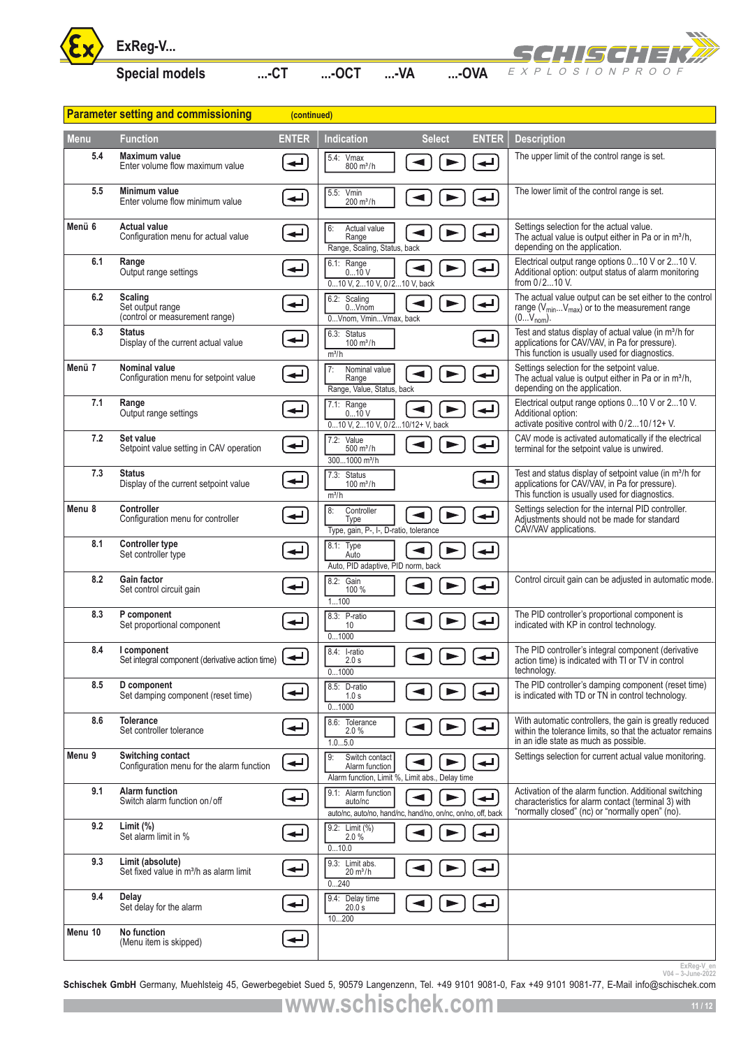![](_page_10_Picture_0.jpeg)

![](_page_10_Picture_3.jpeg)

|                   | ExReg-V                                                                 |                          |                                                                                               |                      |               |              | SCH! ISCH! I E                                                                                                                                                          |
|-------------------|-------------------------------------------------------------------------|--------------------------|-----------------------------------------------------------------------------------------------|----------------------|---------------|--------------|-------------------------------------------------------------------------------------------------------------------------------------------------------------------------|
|                   | <b>Special models</b>                                                   | $$ - $CT$                | $$ -OCT                                                                                       | $M$ -                | $$ -OVA       |              | EXPLOSION PROOF                                                                                                                                                         |
|                   | <b>Parameter setting and commissioning</b>                              | (continued)              |                                                                                               |                      |               |              |                                                                                                                                                                         |
| <b>Menu</b>       | <b>Function</b>                                                         | <b>ENTER</b>             | Indication                                                                                    |                      | <b>Select</b> | <b>ENTER</b> | <b>Description</b>                                                                                                                                                      |
| 5.4               | Maximum value<br>Enter volume flow maximum value                        |                          | 5.4:<br>Vmax<br>$800 \text{ m}^3/h$                                                           |                      |               |              | The upper limit of the control range is set.                                                                                                                            |
| 5.5               | Minimum value<br>Enter volume flow minimum value                        | ↵                        | 5.5: Vmin<br>$200 \text{ m}^3/h$                                                              |                      |               |              | The lower limit of the control range is set.                                                                                                                            |
| Menü 6            | <b>Actual value</b><br>Configuration menu for actual value              | $\overline{\phantom{a}}$ | 6:<br>Actual value<br>Range<br>Range, Scaling, Status, back                                   |                      |               |              | Settings selection for the actual value.<br>The actual value is output either in Pa or in m <sup>3</sup> /h,<br>depending on the application.                           |
| 6.1               | Range<br>Output range settings                                          | ↵                        | 6.1: Range<br>010 V<br>010 V, 210 V, 0/210 V, back                                            |                      |               |              | Electrical output range options 010 V or 210 V.<br>Additional option: output status of alarm monitoring<br>from $0/2$ 10 V.                                             |
| 6.2               | Scaling<br>Set output range<br>(control or measurement range)           | ↵                        | 6.2: Scaling<br>0Vnom<br>0Vnom, VminVmax, back                                                | $\blacktriangleleft$ | ►             |              | The actual value output can be set either to the control<br>range (V <sub>min</sub> V <sub>max</sub> ) or to the measurement range<br>$(0V_{nom})$ .                    |
| 6.3               | <b>Status</b><br>Display of the current actual value                    | ↵                        | 6.3: Status<br>$100 \text{ m}^3/h$<br>m <sup>3</sup> /h                                       |                      |               | ↵            | Test and status display of actual value (in m <sup>3</sup> /h for<br>applications for CAV/VAV, in Pa for pressure).<br>This function is usually used for diagnostics.   |
| Menü 7            | <b>Nominal value</b><br>Configuration menu for setpoint value           | $\overline{\phantom{a}}$ | 7:<br>Nominal value<br>Range<br>Range, Value, Status, back                                    |                      |               |              | Settings selection for the setpoint value.<br>The actual value is output either in Pa or in m <sup>3</sup> /h,<br>depending on the application.                         |
| 7.1               | Range<br>Output range settings                                          | ↵                        | $7.1:$ Range<br>010V<br>010 V, 210 V, 0/210/12+ V, back                                       | ◀                    |               |              | Electrical output range options 010 V or 210 V.<br>Additional option:<br>activate positive control with 0/210/12+ V.                                                    |
| 7.2               | Set value<br>Setpoint value setting in CAV operation                    | $\leftarrow$             | 7.2: Value<br>$500 \, \text{m}^3/\text{h}$<br>3001000 m <sup>3</sup> /h                       |                      |               |              | CAV mode is activated automatically if the electrical<br>terminal for the setpoint value is unwired.                                                                    |
| 7.3               | <b>Status</b><br>Display of the current setpoint value                  | ↵                        | 7.3: Status<br>$100 \, \text{m}^3/\text{h}$<br>m <sup>3</sup> /h                              |                      |               | ↵            | Test and status display of setpoint value (in m <sup>3</sup> /h for<br>applications for CAV/VAV, in Pa for pressure).<br>This function is usually used for diagnostics. |
| Menu 8            | <b>Controller</b><br>Configuration menu for controller                  | ↵                        | 8:<br>Controller<br><b>Type</b><br>Type, gain, P-, I-, D-ratio, tolerance                     | $\blacktriangleleft$ |               |              | Settings selection for the internal PID controller.<br>Adjustments should not be made for standard<br>CAV/VAV applications.                                             |
| 8.1               | <b>Controller type</b><br>Set controller type                           | ↵                        | 8.1: Type<br>Auto<br>Auto, PID adaptive, PID norm, back                                       |                      | ►             |              |                                                                                                                                                                         |
| 8.2               | <b>Gain factor</b><br>Set control circuit gain                          |                          | 8.2: Gain<br>100 %<br>1100                                                                    | ◀                    |               |              | Control circuit gain can be adjusted in automatic mode.                                                                                                                 |
| 8.3               | P component<br>Set proportional component                               | ↵                        | 8.3: P-ratio<br>10<br>01000                                                                   |                      |               | ╺┙╵          | The PID controller's proportional component is<br>indicated with KP in control technology.                                                                              |
| 8.4               | I component<br>Set integral component (derivative action time)          | ↵                        | 8.4: I-ratio<br>2.0 s<br>01000                                                                |                      |               |              | The PID controller's integral component (derivative<br>action time) is indicated with TI or TV in control<br>technology.                                                |
| 8.5               | D component<br>Set damping component (reset time)                       | ↵                        | 8.5: D-ratio<br>1.0 s<br>01000                                                                |                      |               |              | The PID controller's damping component (reset time)<br>is indicated with TD or TN in control technology.                                                                |
| 8.6               | <b>Tolerance</b><br>Set controller tolerance                            | ↵                        | 8.6: Tolerance<br>2.0%<br>1.05.0                                                              |                      |               |              | With automatic controllers, the gain is greatly reduced<br>within the tolerance limits, so that the actuator remains<br>in an idle state as much as possible.           |
| Menu <sub>9</sub> | Switching contact<br>Configuration menu for the alarm function          | ↵                        | Switch contact<br>g:<br>Alarm function<br>Alarm function, Limit %, Limit abs., Delay time     |                      |               |              | Settings selection for current actual value monitoring.                                                                                                                 |
| 9.1               | <b>Alarm function</b><br>Switch alarm function on/off                   | ↵                        | 9.1: Alarm function<br>auto/nc<br>auto/nc, auto/no, hand/nc, hand/no, on/nc, on/no, off, back |                      |               | ╺┙           | Activation of the alarm function. Additional switching<br>characteristics for alarm contact (terminal 3) with<br>"normally closed" (nc) or "normally open" (no).        |
| 9.2               | Limit $(\%)$<br>Set alarm limit in %                                    | ↵                        | 9.2: Limit (%)<br>2.0%<br>010.0                                                               |                      |               |              |                                                                                                                                                                         |
| 9.3               | Limit (absolute)<br>Set fixed value in m <sup>3</sup> /h as alarm limit | $\overline{\phantom{a}}$ | 9.3: Limit abs.<br>$20 \text{ m}^3/h$<br>0240                                                 |                      |               |              |                                                                                                                                                                         |
| 9.4               | Delay<br>Set delay for the alarm                                        |                          | 9.4: Delay time<br>20.0 s<br>10200                                                            |                      |               |              |                                                                                                                                                                         |
| Menu 10           | No function<br>(Menu item is skipped)                                   | ↵                        |                                                                                               |                      |               |              |                                                                                                                                                                         |
|                   |                                                                         |                          |                                                                                               |                      |               |              | ExReg-V_en<br>V04-3-June-2022                                                                                                                                           |

<sup>ExReg-V\_en</sup><br><sup>2022</sup>-<sup>2022</sup>-<sup>2042</sup> V04-3-June-2022<br>**Schischek GmbH** Germany, Muehlsteig 45, Gewerbegebiet Sued 5, 90579 Langenzenn, Tel. +49 9101 9081-0, Fax +49 9101 9081-77, E-Mail info@schischek.com